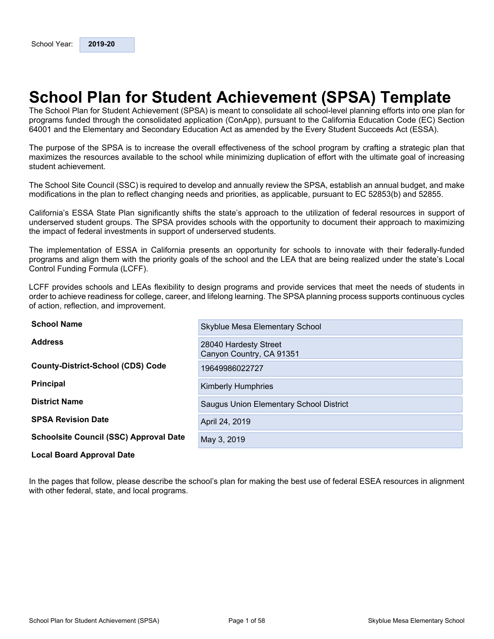# <span id="page-0-0"></span>**School Plan for Student Achievement (SPSA) Template**

The School Plan for Student Achievement (SPSA) is meant to consolidate all school-level planning efforts into one plan for programs funded through the consolidated application (ConApp), pursuant to the California Education Code (EC) Section 64001 and the Elementary and Secondary Education Act as amended by the Every Student Succeeds Act (ESSA).

The purpose of the SPSA is to increase the overall effectiveness of the school program by crafting a strategic plan that maximizes the resources available to the school while minimizing duplication of effort with the ultimate goal of increasing student achievement.

The School Site Council (SSC) is required to develop and annually review the SPSA, establish an annual budget, and make modifications in the plan to reflect changing needs and priorities, as applicable, pursuant to EC 52853(b) and 52855.

California's ESSA State Plan significantly shifts the state's approach to the utilization of federal resources in support of underserved student groups. The SPSA provides schools with the opportunity to document their approach to maximizing the impact of federal investments in support of underserved students.

The implementation of ESSA in California presents an opportunity for schools to innovate with their federally-funded programs and align them with the priority goals of the school and the LEA that are being realized under the state's Local Control Funding Formula (LCFF).

LCFF provides schools and LEAs flexibility to design programs and provide services that meet the needs of students in order to achieve readiness for college, career, and lifelong learning. The SPSA planning process supports continuous cycles of action, reflection, and improvement.

| <b>School Name</b>                            | Skyblue Mesa Elementary School                    |
|-----------------------------------------------|---------------------------------------------------|
| <b>Address</b>                                | 28040 Hardesty Street<br>Canyon Country, CA 91351 |
| <b>County-District-School (CDS) Code</b>      | 19649986022727                                    |
| <b>Principal</b>                              | <b>Kimberly Humphries</b>                         |
| <b>District Name</b>                          | Saugus Union Elementary School District           |
| <b>SPSA Revision Date</b>                     | April 24, 2019                                    |
| <b>Schoolsite Council (SSC) Approval Date</b> | May 3, 2019                                       |
| <b>Local Board Approval Date</b>              |                                                   |

#### In the pages that follow, please describe the school's plan for making the best use of federal ESEA resources in alignment with other federal, state, and local programs.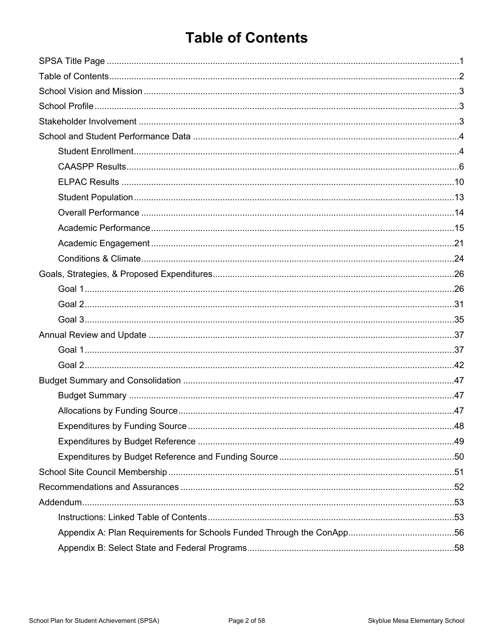# <span id="page-1-0"></span>**Table of Contents**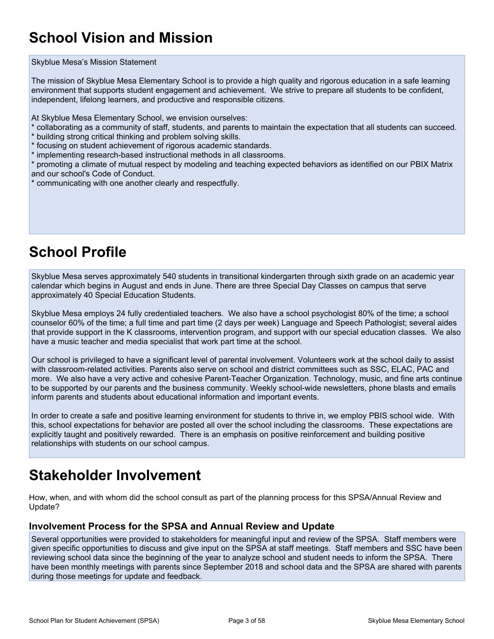# <span id="page-2-0"></span>**School Vision and Mission**

#### Skyblue Mesa's Mission Statement

The mission of Skyblue Mesa Elementary School is to provide a high quality and rigorous education in a safe learning environment that supports student engagement and achievement. We strive to prepare all students to be confident, independent, lifelong learners, and productive and responsible citizens.

At Skyblue Mesa Elementary School, we envision ourselves:

- \* collaborating as a community of staff, students, and parents to maintain the expectation that all students can succeed.
- \* building strong critical thinking and problem solving skills.
- \* focusing on student achievement of rigorous academic standards.
- \* implementing research-based instructional methods in all classrooms.

\* promoting a climate of mutual respect by modeling and teaching expected behaviors as identified on our PBIX Matrix and our school's Code of Conduct.

\* communicating with one another clearly and respectfully.

# <span id="page-2-1"></span>**School Profile**

Skyblue Mesa serves approximately 540 students in transitional kindergarten through sixth grade on an academic year calendar which begins in August and ends in June. There are three Special Day Classes on campus that serve approximately 40 Special Education Students.

Skyblue Mesa employs 24 fully credentialed teachers. We also have a school psychologist 80% of the time; a school counselor 60% of the time; a full time and part time (2 days per week) Language and Speech Pathologist; several aides that provide support in the K classrooms, intervention program, and support with our special education classes. We also have a music teacher and media specialist that work part time at the school.

Our school is privileged to have a significant level of parental involvement. Volunteers work at the school daily to assist with classroom-related activities. Parents also serve on school and district committees such as SSC, ELAC, PAC and more. We also have a very active and cohesive Parent-Teacher Organization. Technology, music, and fine arts continue to be supported by our parents and the business community. Weekly school-wide newsletters, phone blasts and emails inform parents and students about educational information and important events.

In order to create a safe and positive learning environment for students to thrive in, we employ PBIS school wide. With this, school expectations for behavior are posted all over the school including the classrooms. These expectations are explicitly taught and positively rewarded. There is an emphasis on positive reinforcement and building positive relationships with students on our school campus.

# <span id="page-2-2"></span>**Stakeholder Involvement**

How, when, and with whom did the school consult as part of the planning process for this SPSA/Annual Review and Update?

#### **Involvement Process for the SPSA and Annual Review and Update**

Several opportunities were provided to stakeholders for meaningful input and review of the SPSA. Staff members were given specific opportunities to discuss and give input on the SPSA at staff meetings. Staff members and SSC have been reviewing school data since the beginning of the year to analyze school and student needs to inform the SPSA. There have been monthly meetings with parents since September 2018 and school data and the SPSA are shared with parents during those meetings for update and feedback.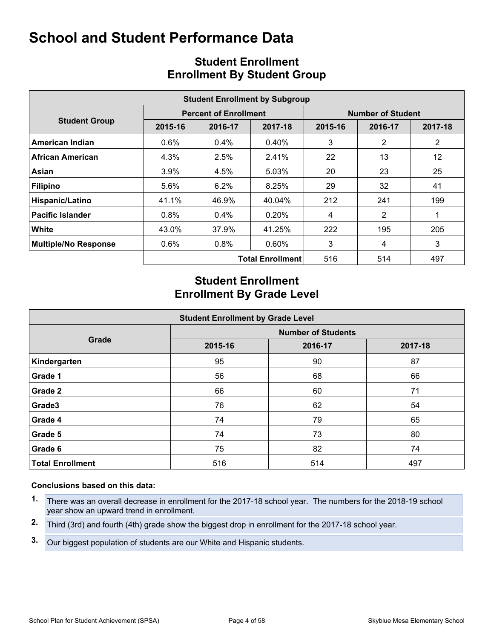<span id="page-3-0"></span>

| <b>Student Enrollment by Subgroup</b> |         |                              |                         |                          |                |                |  |  |  |
|---------------------------------------|---------|------------------------------|-------------------------|--------------------------|----------------|----------------|--|--|--|
|                                       |         | <b>Percent of Enrollment</b> |                         | <b>Number of Student</b> |                |                |  |  |  |
| <b>Student Group</b>                  | 2015-16 | 2016-17                      | 2017-18                 | 2015-16                  | 2016-17        | 2017-18        |  |  |  |
| American Indian                       | 0.6%    | $0.4\%$                      | $0.40\%$                | 3                        | 2              | $\overline{2}$ |  |  |  |
| <b>African American</b>               | 4.3%    | 2.5%                         | 2.41%                   | 22                       | 13             | 12             |  |  |  |
| Asian                                 | 3.9%    | 4.5%                         | 5.03%                   | 20                       | 23             | 25             |  |  |  |
| <b>Filipino</b>                       | 5.6%    | 6.2%                         | 8.25%                   | 29                       | 32             | 41             |  |  |  |
| Hispanic/Latino                       | 41.1%   | 46.9%                        | 40.04%                  | 212                      | 241            | 199            |  |  |  |
| <b>Pacific Islander</b>               | 0.8%    | $0.4\%$                      | 0.20%                   | 4                        | $\overline{2}$ |                |  |  |  |
| White                                 | 43.0%   | 37.9%                        | 41.25%                  | 222                      | 195            | 205            |  |  |  |
| <b>Multiple/No Response</b>           | 0.6%    | 0.8%                         | 0.60%                   | 3                        | 4              | 3              |  |  |  |
|                                       |         |                              | <b>Total Enrollment</b> | 516                      | 514            | 497            |  |  |  |

# <span id="page-3-1"></span>**Student Enrollment Enrollment By Student Group**

# **Student Enrollment Enrollment By Grade Level**

| <b>Student Enrollment by Grade Level</b> |                           |         |         |  |  |  |  |  |  |  |
|------------------------------------------|---------------------------|---------|---------|--|--|--|--|--|--|--|
|                                          | <b>Number of Students</b> |         |         |  |  |  |  |  |  |  |
| Grade                                    | 2015-16                   | 2016-17 | 2017-18 |  |  |  |  |  |  |  |
| Kindergarten                             | 95                        | 90      | 87      |  |  |  |  |  |  |  |
| Grade 1                                  | 56                        | 68      | 66      |  |  |  |  |  |  |  |
| Grade 2                                  | 66                        | 60      | 71      |  |  |  |  |  |  |  |
| Grade3                                   | 76                        | 62      | 54      |  |  |  |  |  |  |  |
| Grade 4                                  | 74                        | 79      | 65      |  |  |  |  |  |  |  |
| Grade 5                                  | 74                        | 73      | 80      |  |  |  |  |  |  |  |
| Grade 6                                  | 75                        | 82      | 74      |  |  |  |  |  |  |  |
| <b>Total Enrollment</b>                  | 516                       | 514     | 497     |  |  |  |  |  |  |  |

#### **Conclusions based on this data:**

- **1.** There was an overall decrease in enrollment for the 2017-18 school year. The numbers for the 2018-19 school year show an upward trend in enrollment.
- **2.** Third (3rd) and fourth (4th) grade show the biggest drop in enrollment for the 2017-18 school year.
- **3.** Our biggest population of students are our White and Hispanic students.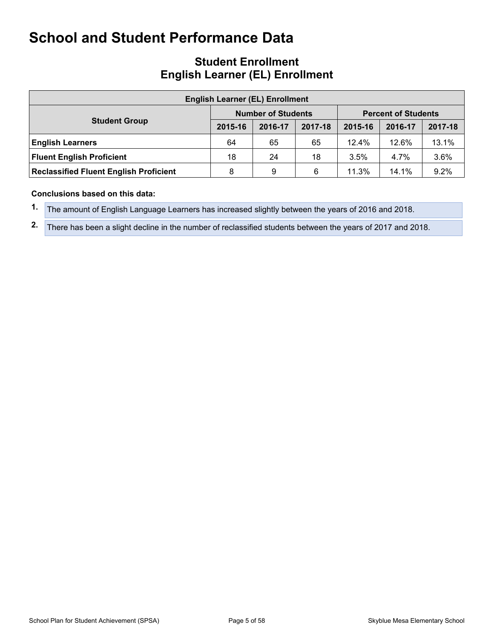# **Student Enrollment English Learner (EL) Enrollment**

| <b>English Learner (EL) Enrollment</b>        |         |                           |         |                            |         |         |  |  |  |  |  |
|-----------------------------------------------|---------|---------------------------|---------|----------------------------|---------|---------|--|--|--|--|--|
| <b>Student Group</b>                          |         | <b>Number of Students</b> |         | <b>Percent of Students</b> |         |         |  |  |  |  |  |
|                                               | 2015-16 | 2016-17                   | 2017-18 | 2015-16                    | 2016-17 | 2017-18 |  |  |  |  |  |
| <b>English Learners</b>                       | 64      | 65                        | 65      | 12.4%                      | 12.6%   | 13.1%   |  |  |  |  |  |
| <b>Fluent English Proficient</b>              | 18      | 24                        | 18      | 3.5%                       | 4.7%    | 3.6%    |  |  |  |  |  |
| <b>Reclassified Fluent English Proficient</b> | 8       | 9                         | 6       | 11.3%                      | 14.1%   | 9.2%    |  |  |  |  |  |

#### **Conclusions based on this data:**

- **1.** The amount of English Language Learners has increased slightly between the years of 2016 and 2018.
- **2.** There has been a slight decline in the number of reclassified students between the years of 2017 and 2018.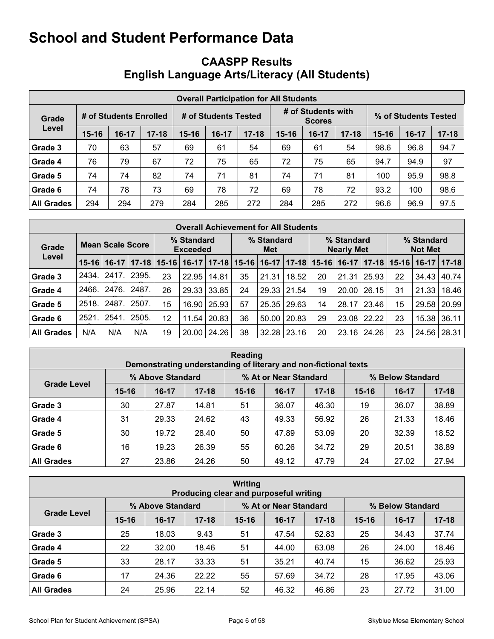|                                               |           |         |           | English Language Arts/Literacy (All Students) |         |           |                                     |         |                      |           |         |           |
|-----------------------------------------------|-----------|---------|-----------|-----------------------------------------------|---------|-----------|-------------------------------------|---------|----------------------|-----------|---------|-----------|
| <b>Overall Participation for All Students</b> |           |         |           |                                               |         |           |                                     |         |                      |           |         |           |
| # of Students Enrolled<br>Grade               |           |         |           | # of Students Tested                          |         |           | # of Students with<br><b>Scores</b> |         | % of Students Tested |           |         |           |
| Level                                         | $15 - 16$ | $16-17$ | $17 - 18$ | $15 - 16$                                     | $16-17$ | $17 - 18$ | $15 - 16$                           | $16-17$ | $17 - 18$            | $15 - 16$ | $16-17$ | $17 - 18$ |
| Grade 3                                       | 70        | 63      | 57        | 69                                            | 61      | 54        | 69                                  | 61      | 54                   | 98.6      | 96.8    | 94.7      |
| Grade 4                                       | 76        | 79      | 67        | 72                                            | 75      | 65        | 72                                  | 75      | 65                   | 94.7      | 94.9    | 97        |
| Grade 5                                       | 74        | 74      | 82        | 74                                            | 71      | 81        | 74                                  | 71      | 81                   | 100       | 95.9    | 98.8      |
| Grade 6                                       | 74        | 78      | 73        | 69                                            | 78      | 72        | 69                                  | 78      | 72                   | 93.2      | 100     | 98.6      |
| All Grades                                    | 294       | 294     | 279       | 284                                           | 285     | 272       | 284                                 | 285     | 272                  | 96.6      | 96.9    | 97.5      |

# <span id="page-5-0"></span>**CAASPP Results English Language Arts/Literacy (All Students)**

| <b>Overall Achievement for All Students</b> |         |         |                               |           |         |                   |    |                   |                                 |           |         |                              |    |                   |           |
|---------------------------------------------|---------|---------|-------------------------------|-----------|---------|-------------------|----|-------------------|---------------------------------|-----------|---------|------------------------------|----|-------------------|-----------|
| Mean Scale Score<br>Grade                   |         |         | % Standard<br><b>Exceeded</b> |           |         | % Standard<br>Met |    |                   | % Standard<br><b>Nearly Met</b> |           |         | % Standard<br><b>Not Met</b> |    |                   |           |
| Level                                       | $15-16$ | $16-17$ | $17 - 18$                     | $15 - 16$ | $16-17$ | $17 - 18$         |    | $15 - 16$   16-17 | $17 - 18$                       | $15 - 16$ | $16-17$ | $17 - 18$                    |    | $15 - 16$   16-17 | $17 - 18$ |
| Grade 3                                     | 2434.   | 2417.   | 2395.                         | 23        | 22.95   | 14.81             | 35 | 21.31             | 18.52                           | 20        | 21.31   | 25.93                        | 22 | 34.43             | 40.74     |
| Grade 4                                     | 2466.   | 2476.   | 2487.                         | 26        | 29.33   | 33.85             | 24 | 29.33             | 21.54                           | 19        | 20.00   | 26.15                        | 31 | 21.33             | 18.46     |
| Grade 5                                     | 2518.   | 2487    | 2507.                         | 15        | 16.90   | 25.93             | 57 | 25.35             | 29.63                           | 14        | 28.17   | 23.46                        | 15 | 29.58             | 20.99     |
| Grade 6                                     | 2521.   | 2541    | 2505.                         | 12        | 11.54   | 20.83             | 36 | 50.00             | 20.83                           | 29        | 23.08   | 22.22                        | 23 | 15.38             | 36.11     |
| <b>All Grades</b>                           | N/A     | N/A     | N/A                           | 19        | 20.00   | 24.26             | 38 | 32.28             | 23.16                           | 20        |         | $23.16$ 24.26                | 23 | 24.56             | 28.31     |

| Reading<br>Demonstrating understanding of literary and non-fictional texts |                  |         |           |           |                       |           |                  |         |           |  |
|----------------------------------------------------------------------------|------------------|---------|-----------|-----------|-----------------------|-----------|------------------|---------|-----------|--|
| <b>Grade Level</b>                                                         | % Above Standard |         |           |           | % At or Near Standard |           | % Below Standard |         |           |  |
|                                                                            | $15 - 16$        | $16-17$ | $17 - 18$ | $15 - 16$ | $16-17$               | $17 - 18$ | $15 - 16$        | $16-17$ | $17 - 18$ |  |
| Grade 3                                                                    | 30               | 27.87   | 14.81     | 51        | 36.07                 | 46.30     | 19               | 36.07   | 38.89     |  |
| Grade 4                                                                    | 31               | 29.33   | 24.62     | 43        | 49.33                 | 56.92     | 26               | 21.33   | 18.46     |  |
| Grade 5                                                                    | 30               | 19.72   | 28.40     | 50        | 47.89                 | 53.09     | 20               | 32.39   | 18.52     |  |
| Grade 6                                                                    | 16               | 19.23   | 26.39     | 55        | 60.26                 | 34.72     | 29               | 20.51   | 38.89     |  |
| <b>All Grades</b>                                                          | 27               | 23.86   | 24.26     | 50        | 49.12                 | 47.79     | 24               | 27.02   | 27.94     |  |

| <b>Writing</b><br>Producing clear and purposeful writing |           |                  |           |           |                       |           |                  |           |           |  |
|----------------------------------------------------------|-----------|------------------|-----------|-----------|-----------------------|-----------|------------------|-----------|-----------|--|
|                                                          |           | % Above Standard |           |           | % At or Near Standard |           | % Below Standard |           |           |  |
| <b>Grade Level</b>                                       | $15 - 16$ | $16-17$          | $17 - 18$ | $15 - 16$ | $16-17$               | $17 - 18$ | $15 - 16$        | $16 - 17$ | $17 - 18$ |  |
| Grade 3                                                  | 25        | 18.03            | 9.43      | 51        | 47.54                 | 52.83     | 25               | 34.43     | 37.74     |  |
| Grade 4                                                  | 22        | 32.00            | 18.46     | 51        | 44.00                 | 63.08     | 26               | 24.00     | 18.46     |  |
| Grade 5                                                  | 33        | 28.17            | 33.33     | 51        | 35.21                 | 40.74     | 15               | 36.62     | 25.93     |  |
| Grade 6                                                  | 17        | 24.36            | 22.22     | 55        | 57.69                 | 34.72     | 28               | 17.95     | 43.06     |  |
| <b>All Grades</b>                                        | 24        | 25.96            | 22.14     | 52        | 46.32                 | 46.86     | 23               | 27.72     | 31.00     |  |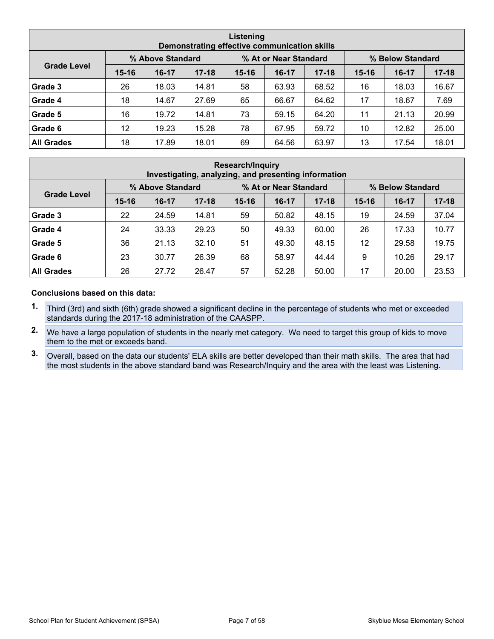| Listening<br>Demonstrating effective communication skills |           |                  |           |           |                       |           |           |                  |           |  |  |
|-----------------------------------------------------------|-----------|------------------|-----------|-----------|-----------------------|-----------|-----------|------------------|-----------|--|--|
| <b>Grade Level</b>                                        |           | % Above Standard |           |           | % At or Near Standard |           |           | % Below Standard |           |  |  |
|                                                           | $15 - 16$ | $16-17$          | $17 - 18$ | $15 - 16$ | $16-17$               | $17 - 18$ | $15 - 16$ | $16-17$          | $17 - 18$ |  |  |
| Grade 3                                                   | 26        | 18.03            | 14.81     | 58        | 63.93                 | 68.52     | 16        | 18.03            | 16.67     |  |  |
| Grade 4                                                   | 18        | 14.67            | 27.69     | 65        | 66.67                 | 64.62     | 17        | 18.67            | 7.69      |  |  |
| Grade 5                                                   | 16        | 19.72            | 14.81     | 73        | 59.15                 | 64.20     | 11        | 21.13            | 20.99     |  |  |
| Grade 6                                                   | 12        | 19.23            | 15.28     | 78        | 67.95                 | 59.72     | 10        | 12.82            | 25.00     |  |  |
| <b>All Grades</b>                                         | 18        | 17.89            | 18.01     | 69        | 64.56                 | 63.97     | 13        | 17.54            | 18.01     |  |  |

| <b>Research/Inquiry</b><br>Investigating, analyzing, and presenting information |           |                  |           |           |                       |           |           |                  |           |  |
|---------------------------------------------------------------------------------|-----------|------------------|-----------|-----------|-----------------------|-----------|-----------|------------------|-----------|--|
| <b>Grade Level</b>                                                              |           | % Above Standard |           |           | % At or Near Standard |           |           | % Below Standard |           |  |
|                                                                                 | $15 - 16$ | $16-17$          | $17 - 18$ | $15 - 16$ | $16-17$               | $17 - 18$ | $15 - 16$ | $16 - 17$        | $17 - 18$ |  |
| Grade 3                                                                         | 22        | 24.59            | 14.81     | 59        | 50.82                 | 48.15     | 19        | 24.59            | 37.04     |  |
| Grade 4                                                                         | 24        | 33.33            | 29.23     | 50        | 49.33                 | 60.00     | 26        | 17.33            | 10.77     |  |
| Grade 5                                                                         | 36        | 21.13            | 32.10     | 51        | 49.30                 | 48.15     | 12        | 29.58            | 19.75     |  |
| Grade 6                                                                         | 23        | 30.77            | 26.39     | 68        | 58.97                 | 44.44     | 9         | 10.26            | 29.17     |  |
| <b>All Grades</b>                                                               | 26        | 27.72            | 26.47     | 57        | 52.28                 | 50.00     | 17        | 20.00            | 23.53     |  |

#### **Conclusions based on this data:**

- **1.** Third (3rd) and sixth (6th) grade showed a significant decline in the percentage of students who met or exceeded standards during the 2017-18 administration of the CAASPP.
- **2.** We have a large population of students in the nearly met category. We need to target this group of kids to move them to the met or exceeds band.
- **3.** Overall, based on the data our students' ELA skills are better developed than their math skills. The area that had the most students in the above standard band was Research/Inquiry and the area with the least was Listening.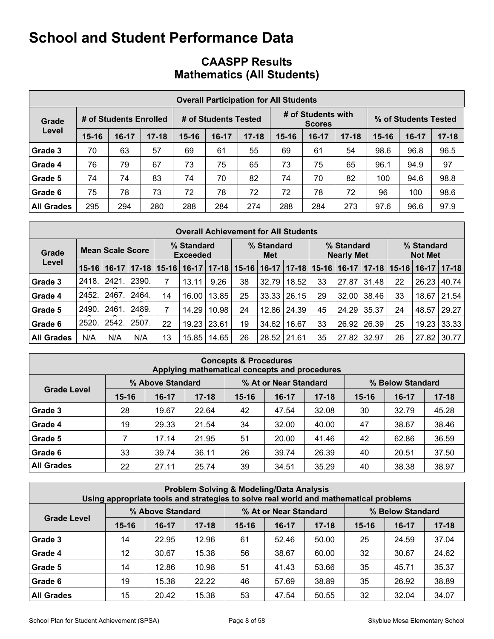| <b>CAASPP Results</b>             |  |  |
|-----------------------------------|--|--|
| <b>Mathematics (All Students)</b> |  |  |

|                   | <b>Overall Participation for All Students</b> |                        |           |                      |         |           |           |                                     |           |                      |       |           |  |  |  |
|-------------------|-----------------------------------------------|------------------------|-----------|----------------------|---------|-----------|-----------|-------------------------------------|-----------|----------------------|-------|-----------|--|--|--|
| Grade             |                                               | # of Students Enrolled |           | # of Students Tested |         |           |           | # of Students with<br><b>Scores</b> |           | % of Students Tested |       |           |  |  |  |
| Level             | $15 - 16$                                     | $16-17$                | $17 - 18$ | $15 - 16$            | $16-17$ | $17 - 18$ | $15 - 16$ | $16-17$                             | $17 - 18$ | $15 - 16$            | 16-17 | $17 - 18$ |  |  |  |
| Grade 3           | 70                                            | 63                     | 57        | 69                   | 61      | 55        | 69        | 61                                  | 54        | 98.6                 | 96.8  | 96.5      |  |  |  |
| Grade 4           | 76                                            | 79                     | 67        | 73                   | 75      | 65        | 73        | 75                                  | 65        | 96.1                 | 94.9  | 97        |  |  |  |
| Grade 5           | 74                                            | 74                     | 83        | 74                   | 70      | 82        | 74        | 70                                  | 82        | 100                  | 94.6  | 98.8      |  |  |  |
| Grade 6           | 75                                            | 78                     | 73        | 72                   | 78      | 72        | 72        | 78                                  | 72        | 96                   | 100   | 98.6      |  |  |  |
| <b>All Grades</b> | 295                                           | 294                    | 280       | 288                  | 284     | 274       | 288       | 284                                 | 273       | 97.6                 | 96.6  | 97.9      |  |  |  |

|                   | <b>Overall Achievement for All Students</b> |                         |           |                               |         |                   |           |                                 |           |           |                              |           |           |         |       |
|-------------------|---------------------------------------------|-------------------------|-----------|-------------------------------|---------|-------------------|-----------|---------------------------------|-----------|-----------|------------------------------|-----------|-----------|---------|-------|
| Grade             |                                             | <b>Mean Scale Score</b> |           | % Standard<br><b>Exceeded</b> |         | % Standard<br>Met |           | % Standard<br><b>Nearly Met</b> |           |           | % Standard<br><b>Not Met</b> |           |           |         |       |
| Level             | $15 - 16$                                   | $16-17$                 | $17 - 18$ | $15 - 16$                     | $16-17$ | $17 - 18$         | $15 - 16$ | $16-17$                         | $17 - 18$ | $15 - 16$ | $16-17$                      | $17 - 18$ | $15 - 16$ | $16-17$ | 17-18 |
| Grade 3           | 2418.                                       | 2421                    | 2390.     | 7                             | 13.11   | 9.26              | 38        | 32.79                           | 18.52     | 33        | 27.87                        | 31.48     | 22        | 26.23   | 40.74 |
| Grade 4           | 2452.                                       | 2467                    | 2464.     | 14                            | 16.00   | 13.85             | 25        | 33.33                           | 26.15     | 29        | 32.00                        | 38.46     | 33        | 18.67   | 21.54 |
| Grade 5           | 2490.                                       | 2461                    | 2489.     | 7                             | 14.29   | 10.98             | 24        | 12.86                           | 24.39     | 45        | 24.29                        | 35.37     | 24        | 48.57   | 29.27 |
| Grade 6           | 2520.                                       | 2542.                   | 2507      | 22                            | 19.23   | 23.61             | 19        | 34.62                           | 16.67     | 33        | 26.92                        | 26.39     | 25        | 19.23   | 33.33 |
| <b>All Grades</b> | N/A                                         | N/A                     | N/A       | 13                            | 15.85   | 14.65             | 26        | 28.52                           | 21.61     | 35        | 27.82                        | 32.97     | 26        | 27.82   | 30.77 |

| <b>Concepts &amp; Procedures</b><br>Applying mathematical concepts and procedures |           |                  |           |           |                       |           |                  |           |           |  |  |  |  |  |
|-----------------------------------------------------------------------------------|-----------|------------------|-----------|-----------|-----------------------|-----------|------------------|-----------|-----------|--|--|--|--|--|
|                                                                                   |           | % Above Standard |           |           | % At or Near Standard |           | % Below Standard |           |           |  |  |  |  |  |
| <b>Grade Level</b>                                                                | $15 - 16$ | $16-17$          | $17 - 18$ | $15 - 16$ | $16-17$               | $17 - 18$ | $15 - 16$        | $16 - 17$ | $17 - 18$ |  |  |  |  |  |
| Grade 3                                                                           | 28        | 19.67            | 22.64     | 42        | 47.54                 | 32.08     | 30               | 32.79     | 45.28     |  |  |  |  |  |
| Grade 4                                                                           | 19        | 29.33            | 21.54     | 34        | 32.00                 | 40.00     | 47               | 38.67     | 38.46     |  |  |  |  |  |
| Grade 5                                                                           | 7         | 17.14            | 21.95     | 51        | 20.00                 | 41.46     | 42               | 62.86     | 36.59     |  |  |  |  |  |
| Grade 6                                                                           | 33        | 39.74            | 36.11     | 26        | 39.74                 | 26.39     | 40               | 20.51     | 37.50     |  |  |  |  |  |
| <b>All Grades</b>                                                                 | 22        | 27.11            | 25.74     | 39        | 34.51                 | 35.29     | 40               | 38.38     | 38.97     |  |  |  |  |  |

|                                                               | <b>Problem Solving &amp; Modeling/Data Analysis</b><br>Using appropriate tools and strategies to solve real world and mathematical problems |         |           |           |         |           |           |           |           |  |  |  |  |  |
|---------------------------------------------------------------|---------------------------------------------------------------------------------------------------------------------------------------------|---------|-----------|-----------|---------|-----------|-----------|-----------|-----------|--|--|--|--|--|
| % At or Near Standard<br>% Above Standard<br>% Below Standard |                                                                                                                                             |         |           |           |         |           |           |           |           |  |  |  |  |  |
| <b>Grade Level</b>                                            | $15 - 16$                                                                                                                                   | $16-17$ | $17 - 18$ | $15 - 16$ | $16-17$ | $17 - 18$ | $15 - 16$ | $16 - 17$ | $17 - 18$ |  |  |  |  |  |
| Grade 3                                                       | 14                                                                                                                                          | 22.95   | 12.96     | 61        | 52.46   | 50.00     | 25        | 24.59     | 37.04     |  |  |  |  |  |
| Grade 4                                                       | 12                                                                                                                                          | 30.67   | 15.38     | 56        | 38.67   | 60.00     | 32        | 30.67     | 24.62     |  |  |  |  |  |
| Grade 5                                                       | 14                                                                                                                                          | 12.86   | 10.98     | 51        | 41.43   | 53.66     | 35        | 45.71     | 35.37     |  |  |  |  |  |
| Grade 6                                                       | 35<br>19<br>15.38<br>22.22<br>38.89<br>26.92<br>38.89<br>46<br>57.69                                                                        |         |           |           |         |           |           |           |           |  |  |  |  |  |
| <b>All Grades</b>                                             | 32<br>15<br>20.42<br>15.38<br>53<br>32.04<br>47.54<br>50.55<br>34.07                                                                        |         |           |           |         |           |           |           |           |  |  |  |  |  |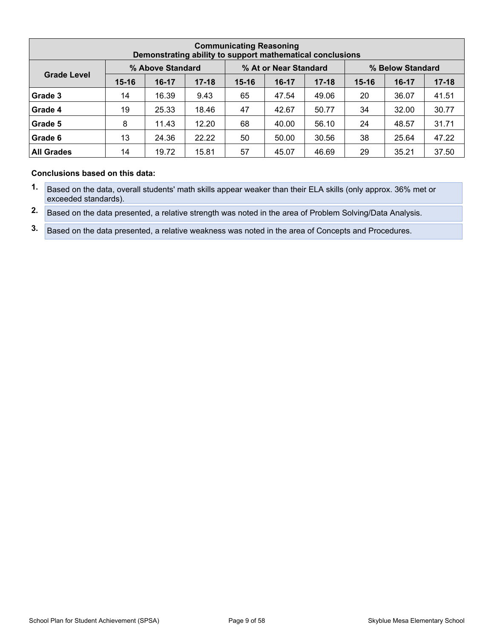|                                                               | <b>Communicating Reasoning</b><br>Demonstrating ability to support mathematical conclusions |         |           |           |           |       |    |       |       |  |  |  |  |  |  |
|---------------------------------------------------------------|---------------------------------------------------------------------------------------------|---------|-----------|-----------|-----------|-------|----|-------|-------|--|--|--|--|--|--|
| % At or Near Standard<br>% Above Standard<br>% Below Standard |                                                                                             |         |           |           |           |       |    |       |       |  |  |  |  |  |  |
| <b>Grade Level</b>                                            | $15 - 16$                                                                                   | $16-17$ | $15 - 16$ | $16 - 17$ | $17 - 18$ |       |    |       |       |  |  |  |  |  |  |
| Grade 3                                                       | 14                                                                                          | 16.39   | 9.43      | 65        | 47.54     | 49.06 | 20 | 36.07 | 41.51 |  |  |  |  |  |  |
| Grade 4                                                       | 19                                                                                          | 25.33   | 18.46     | 47        | 42.67     | 50.77 | 34 | 32.00 | 30.77 |  |  |  |  |  |  |
| Grade 5                                                       | 8                                                                                           | 11.43   | 12.20     | 68        | 40.00     | 56.10 | 24 | 48.57 | 31.71 |  |  |  |  |  |  |
| Grade 6                                                       | 38<br>13<br>24.36<br>22.22<br>25.64<br>47.22<br>50.00<br>30.56<br>50                        |         |           |           |           |       |    |       |       |  |  |  |  |  |  |
| <b>All Grades</b>                                             | 14                                                                                          | 19.72   | 15.81     | 57        | 45.07     | 46.69 | 29 | 35.21 | 37.50 |  |  |  |  |  |  |

#### **Conclusions based on this data:**

**1.** Based on the data, overall students' math skills appear weaker than their ELA skills (only approx. 36% met or exceeded standards).

**2.** Based on the data presented, a relative strength was noted in the area of Problem Solving/Data Analysis.

**3.** Based on the data presented, a relative weakness was noted in the area of Concepts and Procedures.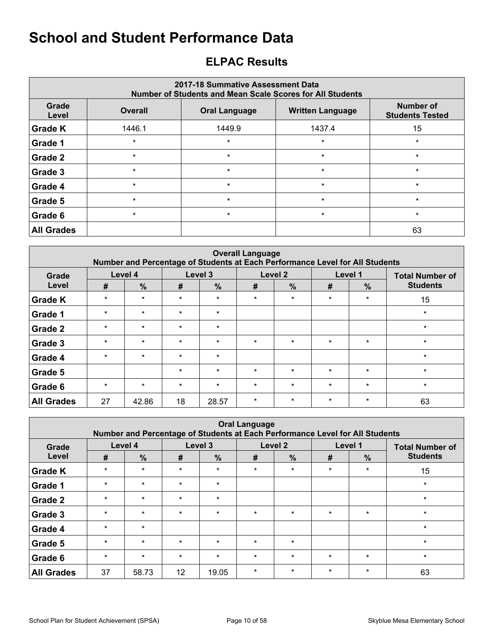# <span id="page-9-0"></span>**ELPAC Results**

| 2017-18 Summative Assessment Data<br><b>Number of Students and Mean Scale Scores for All Students</b> |                |                      |                         |                                     |  |  |  |  |  |  |  |
|-------------------------------------------------------------------------------------------------------|----------------|----------------------|-------------------------|-------------------------------------|--|--|--|--|--|--|--|
| Grade<br>Level                                                                                        | <b>Overall</b> | <b>Oral Language</b> | <b>Written Language</b> | Number of<br><b>Students Tested</b> |  |  |  |  |  |  |  |
| <b>Grade K</b>                                                                                        | 1446.1         | 1449.9               | 1437.4                  | 15                                  |  |  |  |  |  |  |  |
| Grade 1                                                                                               | $\star$        | $\star$              | $\star$                 | $\star$                             |  |  |  |  |  |  |  |
| Grade 2                                                                                               | $\star$        | $\star$              | $\star$                 | $\star$                             |  |  |  |  |  |  |  |
| Grade 3                                                                                               | $\star$        | $\star$              | $\star$                 | $\star$                             |  |  |  |  |  |  |  |
| Grade 4                                                                                               | $\star$        | $\star$              | $\star$                 | $\star$                             |  |  |  |  |  |  |  |
| Grade 5                                                                                               | $\star$        | $\star$              | $\star$                 | $\star$                             |  |  |  |  |  |  |  |
| Grade 6                                                                                               | $\star$        | $\star$              | $\star$                 | $\star$                             |  |  |  |  |  |  |  |
| <b>All Grades</b>                                                                                     |                |                      |                         | 63                                  |  |  |  |  |  |  |  |

| <b>Overall Language</b><br>Number and Percentage of Students at Each Performance Level for All Students |         |               |         |               |         |         |         |         |                        |  |  |  |  |
|---------------------------------------------------------------------------------------------------------|---------|---------------|---------|---------------|---------|---------|---------|---------|------------------------|--|--|--|--|
| Grade                                                                                                   | Level 4 |               | Level 3 |               |         | Level 2 |         | Level 1 | <b>Total Number of</b> |  |  |  |  |
| Level                                                                                                   | #       | $\frac{9}{6}$ | #       | $\frac{0}{0}$ | #       | %       | #       | $\%$    | <b>Students</b>        |  |  |  |  |
| <b>Grade K</b>                                                                                          | $\star$ | $\star$       | $\star$ | $\star$       | $\star$ | $\star$ | $\star$ | $\star$ | 15                     |  |  |  |  |
| <b>Grade 1</b>                                                                                          | $\star$ | $\star$       | $\star$ | $\star$       |         |         |         |         | $\star$                |  |  |  |  |
| <b>Grade 2</b>                                                                                          | $\star$ | $\star$       | $\star$ | $\star$       |         |         |         |         | $\star$                |  |  |  |  |
| Grade 3                                                                                                 | $\star$ | $\star$       | $\star$ | $\star$       | $\star$ | $\star$ | $\star$ | $\star$ | $\star$                |  |  |  |  |
| <b>Grade 4</b>                                                                                          | $\star$ | $\star$       | $\star$ | $\star$       |         |         |         |         | $\star$                |  |  |  |  |
| Grade 5                                                                                                 |         |               | $\star$ | $\star$       | $\star$ | $\star$ | $\star$ | $\star$ | $\star$                |  |  |  |  |
| <b>Grade 6</b>                                                                                          | $\star$ | $\star$       | $\star$ | $\star$       | $\star$ | $\star$ | $\star$ | $\star$ | $\star$                |  |  |  |  |
| <b>All Grades</b>                                                                                       | 27      | 42.86         | 18      | 28.57         | $\star$ | $\star$ | $\star$ | $\star$ | 63                     |  |  |  |  |

| <b>Oral Language</b><br>Number and Percentage of Students at Each Performance Level for All Students |         |               |         |               |         |               |         |               |                        |  |  |  |  |
|------------------------------------------------------------------------------------------------------|---------|---------------|---------|---------------|---------|---------------|---------|---------------|------------------------|--|--|--|--|
| Grade                                                                                                | Level 4 |               | Level 3 |               |         | Level 2       |         | Level 1       | <b>Total Number of</b> |  |  |  |  |
| Level                                                                                                | #       | $\frac{0}{0}$ | #       | $\frac{0}{0}$ | #       | $\frac{9}{6}$ | #       | $\frac{9}{6}$ | <b>Students</b>        |  |  |  |  |
| <b>Grade K</b>                                                                                       | $\star$ | $\star$       | $\star$ | $\star$       | $\star$ | $\star$       | $\star$ | $\star$       | 15                     |  |  |  |  |
| Grade 1                                                                                              | $\star$ | $\star$       | $\star$ | $\ast$        |         |               |         |               | $\star$                |  |  |  |  |
| Grade 2                                                                                              | $\star$ | $\star$       | $\star$ | $\star$       |         |               |         |               | $\star$                |  |  |  |  |
| Grade 3                                                                                              | $\star$ | $\star$       | $\star$ | $\ast$        | $\star$ | $\star$       | $\star$ | $\star$       | $\star$                |  |  |  |  |
| Grade 4                                                                                              | $\star$ | $\star$       |         |               |         |               |         |               | $\star$                |  |  |  |  |
| Grade 5                                                                                              | $\star$ | $\star$       | $\star$ | $\star$       | $\star$ | $\star$       |         |               | $\star$                |  |  |  |  |
| Grade 6                                                                                              | $\star$ | $\star$       | $\star$ | $\ast$        | $\star$ | $\star$       | $\star$ | $\star$       | $\star$                |  |  |  |  |
| <b>All Grades</b>                                                                                    | 37      | 58.73         | 12      | 19.05         | $\star$ | $\star$       | $\star$ | $\star$       | 63                     |  |  |  |  |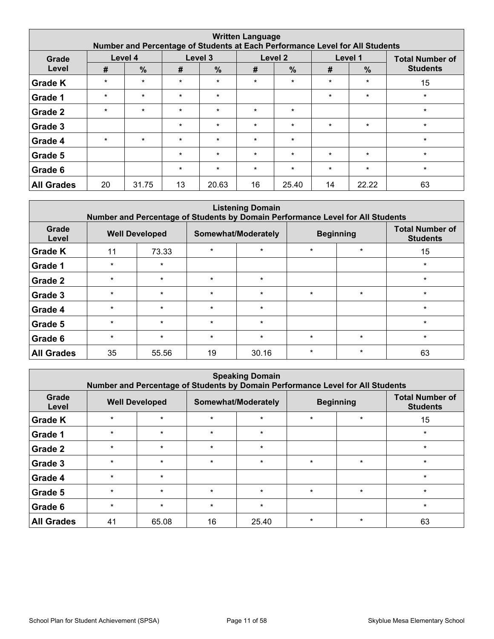| <b>Written Language</b><br>Number and Percentage of Students at Each Performance Level for All Students |         |               |         |               |         |               |         |               |                        |  |  |  |  |
|---------------------------------------------------------------------------------------------------------|---------|---------------|---------|---------------|---------|---------------|---------|---------------|------------------------|--|--|--|--|
| Grade                                                                                                   |         | Level 4       |         | Level 3       |         | Level 2       |         | Level 1       | <b>Total Number of</b> |  |  |  |  |
| Level                                                                                                   | #       | $\frac{0}{0}$ | #       | $\frac{9}{6}$ | #       | $\frac{0}{0}$ | #       | $\frac{9}{6}$ | <b>Students</b>        |  |  |  |  |
| <b>Grade K</b>                                                                                          | $\star$ | $\star$       | $\star$ | $\ast$        | $\star$ | $\star$       | $\star$ | $\star$       | 15                     |  |  |  |  |
| Grade 1                                                                                                 | $\star$ | $\star$       | $\star$ | $\star$       |         |               | $\star$ | $\star$       | $\star$                |  |  |  |  |
| Grade 2                                                                                                 | $\star$ | $\star$       | $\star$ | $\ast$        | $\star$ | $\star$       |         |               | $\star$                |  |  |  |  |
| Grade 3                                                                                                 |         |               | $\star$ | $\star$       | $\star$ | $\star$       | $\star$ | $\star$       | $\star$                |  |  |  |  |
| Grade 4                                                                                                 | $\star$ | $\star$       | $\star$ | $\star$       | $\star$ | $\star$       |         |               | $\star$                |  |  |  |  |
| Grade 5                                                                                                 |         |               | $\star$ | $\star$       | $\star$ | $\star$       | $\star$ | $\star$       | $\star$                |  |  |  |  |
| Grade 6                                                                                                 |         |               | $\star$ | $\ast$        | $\star$ | $\star$       | $\star$ | $\star$       | $\star$                |  |  |  |  |
| <b>All Grades</b>                                                                                       | 20      | 31.75         | 13      | 20.63         | 16      | 25.40         | 14      | 22.22         | 63                     |  |  |  |  |

| <b>Listening Domain</b><br>Number and Percentage of Students by Domain Performance Level for All Students |         |                       |         |                     |         |                  |                                           |  |  |  |  |  |  |
|-----------------------------------------------------------------------------------------------------------|---------|-----------------------|---------|---------------------|---------|------------------|-------------------------------------------|--|--|--|--|--|--|
| Grade<br>Level                                                                                            |         | <b>Well Developed</b> |         | Somewhat/Moderately |         | <b>Beginning</b> | <b>Total Number of</b><br><b>Students</b> |  |  |  |  |  |  |
| <b>Grade K</b>                                                                                            | 11      | 73.33                 | $\star$ | $\star$             | $\star$ | $\star$          | 15                                        |  |  |  |  |  |  |
| Grade 1                                                                                                   | $\star$ | $\star$               |         |                     |         |                  | $\star$                                   |  |  |  |  |  |  |
| Grade 2                                                                                                   | $\star$ | $\star$               | $\star$ | $\star$             |         |                  | $\star$                                   |  |  |  |  |  |  |
| Grade 3                                                                                                   | $\star$ | $\star$               | $\star$ | $\star$             | $\star$ | $\star$          | $\star$                                   |  |  |  |  |  |  |
| Grade 4                                                                                                   | $\star$ | $\star$               | $\star$ | $\star$             |         |                  | $\star$                                   |  |  |  |  |  |  |
| Grade 5                                                                                                   | $\star$ | $\star$               | $\star$ | $\star$             |         |                  | $\star$                                   |  |  |  |  |  |  |
| Grade 6                                                                                                   | $\star$ | $\star$               | $\star$ | $\star$             | $\star$ | $\star$          | $\star$                                   |  |  |  |  |  |  |
| <b>All Grades</b>                                                                                         | 35      | 55.56                 | 19      | 30.16               | $\star$ | $\star$          | 63                                        |  |  |  |  |  |  |

|                   | <b>Speaking Domain</b><br>Number and Percentage of Students by Domain Performance Level for All Students |                       |         |                     |         |                  |                                           |  |  |  |  |  |  |
|-------------------|----------------------------------------------------------------------------------------------------------|-----------------------|---------|---------------------|---------|------------------|-------------------------------------------|--|--|--|--|--|--|
| Grade<br>Level    |                                                                                                          | <b>Well Developed</b> |         | Somewhat/Moderately |         | <b>Beginning</b> | <b>Total Number of</b><br><b>Students</b> |  |  |  |  |  |  |
| <b>Grade K</b>    | $\star$                                                                                                  | $\star$               | $\star$ | $\star$             | $\star$ | $\star$          | 15                                        |  |  |  |  |  |  |
| Grade 1           | $\star$                                                                                                  | $\star$               | $\star$ | $\star$             |         |                  | $\star$                                   |  |  |  |  |  |  |
| Grade 2           | $\star$                                                                                                  | $\star$               | $\star$ | $\star$             |         |                  | $\star$                                   |  |  |  |  |  |  |
| Grade 3           | $\star$                                                                                                  | $\star$               | $\star$ | $\star$             | $\star$ | $\star$          | $\star$                                   |  |  |  |  |  |  |
| Grade 4           | $\star$                                                                                                  | $\star$               |         |                     |         |                  | $\star$                                   |  |  |  |  |  |  |
| Grade 5           | $\star$                                                                                                  | $\star$               | $\star$ | $\star$             | $\star$ | $\star$          | $\star$                                   |  |  |  |  |  |  |
| Grade 6           | $\star$                                                                                                  | $\star$               | $\star$ | $\star$             |         |                  | $\ast$                                    |  |  |  |  |  |  |
| <b>All Grades</b> | 41                                                                                                       | 65.08                 | 16      | 25.40               | $\star$ | $\star$          | 63                                        |  |  |  |  |  |  |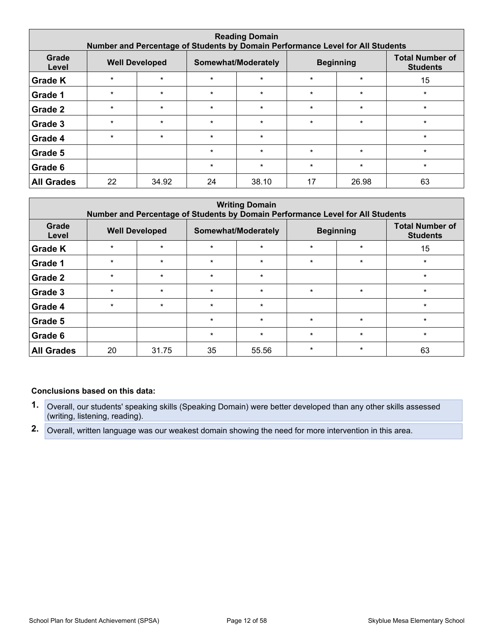| <b>Reading Domain</b><br>Number and Percentage of Students by Domain Performance Level for All Students |         |                       |         |                     |         |                  |                                           |  |  |  |  |  |
|---------------------------------------------------------------------------------------------------------|---------|-----------------------|---------|---------------------|---------|------------------|-------------------------------------------|--|--|--|--|--|
| Grade<br>Level                                                                                          |         | <b>Well Developed</b> |         | Somewhat/Moderately |         | <b>Beginning</b> | <b>Total Number of</b><br><b>Students</b> |  |  |  |  |  |
| <b>Grade K</b>                                                                                          | $\star$ | $\star$               | $\star$ | $\star$             | $\star$ | $\star$          | 15                                        |  |  |  |  |  |
| Grade 1                                                                                                 | $\star$ | $\star$               | $\star$ | $\star$             | $\star$ | $\star$          | $\star$                                   |  |  |  |  |  |
| Grade 2                                                                                                 | $\star$ | $\star$               | $\star$ | $\star$             | $\star$ | $\star$          | $\star$                                   |  |  |  |  |  |
| Grade 3                                                                                                 | $\star$ | $\star$               | $\star$ | $\star$             | $\star$ | $\star$          | $\star$                                   |  |  |  |  |  |
| Grade 4                                                                                                 | $\star$ | $\star$               | $\star$ | $\star$             |         |                  | $\star$                                   |  |  |  |  |  |
| Grade 5                                                                                                 |         |                       | $\star$ | $\star$             | $\star$ | $\star$          | $\star$                                   |  |  |  |  |  |
| Grade 6                                                                                                 |         |                       | $\star$ | $\star$             | $\star$ | $\star$          | $\star$                                   |  |  |  |  |  |
| <b>All Grades</b>                                                                                       | 22      | 34.92                 | 24      | 38.10               | 17      | 26.98            | 63                                        |  |  |  |  |  |

| <b>Writing Domain</b><br>Number and Percentage of Students by Domain Performance Level for All Students |         |                                              |         |         |         |                  |                                           |  |
|---------------------------------------------------------------------------------------------------------|---------|----------------------------------------------|---------|---------|---------|------------------|-------------------------------------------|--|
| Grade<br>Level                                                                                          |         | <b>Well Developed</b><br>Somewhat/Moderately |         |         |         | <b>Beginning</b> | <b>Total Number of</b><br><b>Students</b> |  |
| <b>Grade K</b>                                                                                          | $\star$ | $\star$                                      | $\star$ | $\star$ | $\star$ | $\star$          | 15                                        |  |
| Grade 1                                                                                                 | $\star$ | $\star$                                      | $\star$ | $\star$ | $\star$ | $\star$          | $\star$                                   |  |
| Grade 2                                                                                                 | $\star$ | $\star$                                      | $\star$ | $\star$ |         |                  | $\star$                                   |  |
| Grade 3                                                                                                 | $\star$ | $\star$                                      | $\star$ | $\star$ | $\star$ | $\star$          | $\star$                                   |  |
| Grade 4                                                                                                 | $\star$ | $\star$                                      | $\star$ | $\star$ |         |                  | $\star$                                   |  |
| Grade 5                                                                                                 |         |                                              | $\star$ | $\star$ | $\star$ | $\star$          | $\star$                                   |  |
| Grade 6                                                                                                 |         |                                              | $\star$ | $\star$ | $\star$ | $\star$          | $\star$                                   |  |
| <b>All Grades</b>                                                                                       | 20      | 31.75                                        | 35      | 55.56   | $\star$ | $\star$          | 63                                        |  |

#### **Conclusions based on this data:**

- **1.** Overall, our students' speaking skills (Speaking Domain) were better developed than any other skills assessed (writing, listening, reading).
- **2.** Overall, written language was our weakest domain showing the need for more intervention in this area.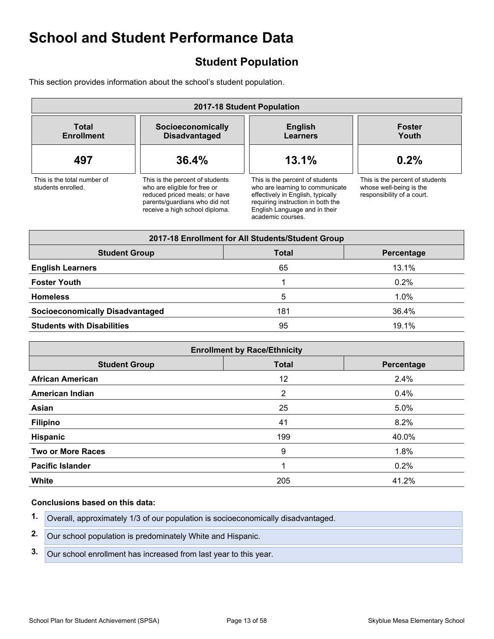# <span id="page-12-0"></span>**Student Population**

This section provides information about the school's student population.

| 2017-18 Student Population                        |                                                                                                                                                                     |                                                                                                                                                                                                    |                                                                                          |  |  |  |  |
|---------------------------------------------------|---------------------------------------------------------------------------------------------------------------------------------------------------------------------|----------------------------------------------------------------------------------------------------------------------------------------------------------------------------------------------------|------------------------------------------------------------------------------------------|--|--|--|--|
| <b>Total</b><br><b>Enrollment</b>                 | Socioeconomically<br><b>Disadvantaged</b>                                                                                                                           | <b>English</b><br><b>Learners</b>                                                                                                                                                                  | <b>Foster</b><br>Youth                                                                   |  |  |  |  |
| 497                                               | 36.4%                                                                                                                                                               | 13.1%                                                                                                                                                                                              | 0.2%                                                                                     |  |  |  |  |
| This is the total number of<br>students enrolled. | This is the percent of students<br>who are eligible for free or<br>reduced priced meals; or have<br>parents/guardians who did not<br>receive a high school diploma. | This is the percent of students<br>who are learning to communicate<br>effectively in English, typically<br>requiring instruction in both the<br>English Language and in their<br>academic courses. | This is the percent of students<br>whose well-being is the<br>responsibility of a court. |  |  |  |  |

| 2017-18 Enrollment for All Students/Student Group  |     |         |  |  |  |  |  |  |
|----------------------------------------------------|-----|---------|--|--|--|--|--|--|
| <b>Student Group</b><br><b>Total</b><br>Percentage |     |         |  |  |  |  |  |  |
| <b>English Learners</b>                            | 65  | 13.1%   |  |  |  |  |  |  |
| <b>Foster Youth</b>                                |     | 0.2%    |  |  |  |  |  |  |
| <b>Homeless</b>                                    | 5   | $1.0\%$ |  |  |  |  |  |  |
| <b>Socioeconomically Disadvantaged</b>             | 181 | 36.4%   |  |  |  |  |  |  |
| <b>Students with Disabilities</b>                  | 95  | 19.1%   |  |  |  |  |  |  |

| <b>Enrollment by Race/Ethnicity</b> |              |            |  |  |  |  |
|-------------------------------------|--------------|------------|--|--|--|--|
| <b>Student Group</b>                | <b>Total</b> | Percentage |  |  |  |  |
| <b>African American</b>             | 12           | 2.4%       |  |  |  |  |
| <b>American Indian</b>              | 2            | 0.4%       |  |  |  |  |
| Asian                               | 25           | 5.0%       |  |  |  |  |
| <b>Filipino</b>                     | 41           | 8.2%       |  |  |  |  |
| <b>Hispanic</b>                     | 199          | 40.0%      |  |  |  |  |
| <b>Two or More Races</b>            | 9            | 1.8%       |  |  |  |  |
| <b>Pacific Islander</b>             | 1            | 0.2%       |  |  |  |  |
| <b>White</b>                        | 205          | 41.2%      |  |  |  |  |

#### **Conclusions based on this data:**

**1.** Overall, approximately 1/3 of our population is socioeconomically disadvantaged.

**2.** Our school population is predominately White and Hispanic.

**3.** Our school enrollment has increased from last year to this year.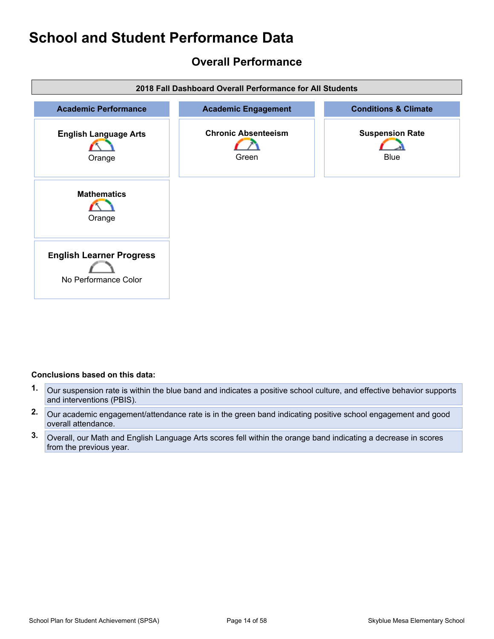# <span id="page-13-0"></span>**Overall Performance**



#### **Conclusions based on this data:**

- **1.** Our suspension rate is within the blue band and indicates a positive school culture, and effective behavior supports and interventions (PBIS).
- **2.** Our academic engagement/attendance rate is in the green band indicating positive school engagement and good overall attendance.
- **3.** Overall, our Math and English Language Arts scores fell within the orange band indicating a decrease in scores from the previous year.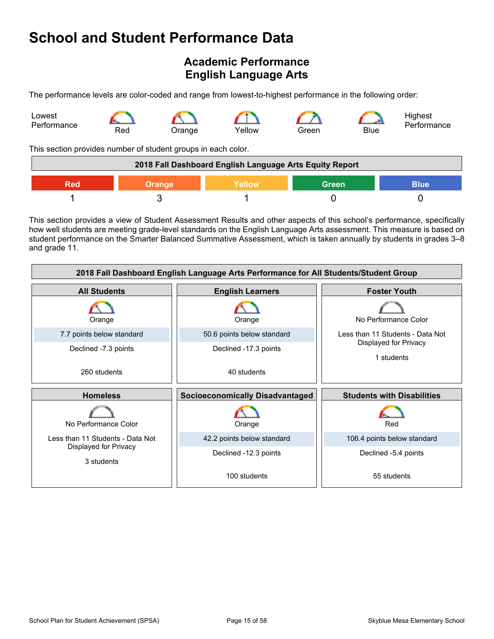# <span id="page-14-0"></span>**Academic Performance English Language Arts**

The performance levels are color-coded and range from lowest-to-highest performance in the following order:



This section provides number of student groups in each color.

| 2018 Fall Dashboard English Language Arts Equity Report       |  |  |  |  |  |  |
|---------------------------------------------------------------|--|--|--|--|--|--|
| <b>Green</b><br><b>Blue</b><br>Yellow<br><b>Orange</b><br>Red |  |  |  |  |  |  |
|                                                               |  |  |  |  |  |  |

This section provides a view of Student Assessment Results and other aspects of this school's performance, specifically how well students are meeting grade-level standards on the English Language Arts assessment. This measure is based on student performance on the Smarter Balanced Summative Assessment, which is taken annually by students in grades 3–8 and grade 11.

| 2018 Fall Dashboard English Language Arts Performance for All Students/Student Group |                                        |                                     |  |  |  |  |
|--------------------------------------------------------------------------------------|----------------------------------------|-------------------------------------|--|--|--|--|
| <b>All Students</b>                                                                  | <b>Foster Youth</b>                    |                                     |  |  |  |  |
| Orange                                                                               | Orange                                 | No Performance Color                |  |  |  |  |
| 7.7 points below standard                                                            | 50.6 points below standard             | Less than 11 Students - Data Not    |  |  |  |  |
| Declined -7.3 points                                                                 | Declined -17.3 points                  | Displayed for Privacy<br>1 students |  |  |  |  |
| 260 students                                                                         | 40 students                            |                                     |  |  |  |  |
|                                                                                      |                                        |                                     |  |  |  |  |
| <b>Homeless</b>                                                                      | <b>Socioeconomically Disadvantaged</b> | <b>Students with Disabilities</b>   |  |  |  |  |
| No Performance Color                                                                 | Orange                                 | Red                                 |  |  |  |  |
| Less than 11 Students - Data Not                                                     | 42.2 points below standard             | 106.4 points below standard         |  |  |  |  |
| Displayed for Privacy<br>3 students                                                  | Declined -12.3 points                  | Declined -5.4 points                |  |  |  |  |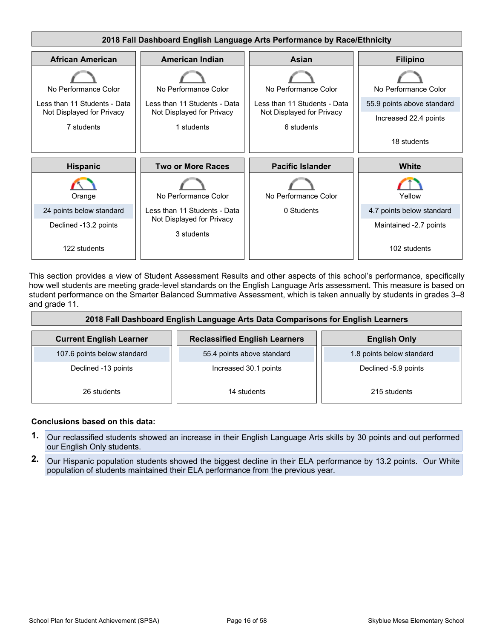

This section provides a view of Student Assessment Results and other aspects of this school's performance, specifically how well students are meeting grade-level standards on the English Language Arts assessment. This measure is based on student performance on the Smarter Balanced Summative Assessment, which is taken annually by students in grades 3–8 and grade 11.

| 2018 Fall Dashboard English Language Arts Data Comparisons for English Learners |                                      |                           |  |  |  |  |
|---------------------------------------------------------------------------------|--------------------------------------|---------------------------|--|--|--|--|
| <b>Current English Learner</b>                                                  | <b>Reclassified English Learners</b> | <b>English Only</b>       |  |  |  |  |
| 107.6 points below standard                                                     | 55.4 points above standard           | 1.8 points below standard |  |  |  |  |
| Declined -13 points                                                             | Increased 30.1 points                | Declined -5.9 points      |  |  |  |  |
| 26 students                                                                     | 14 students                          | 215 students              |  |  |  |  |

#### **Conclusions based on this data:**

- **1.** Our reclassified students showed an increase in their English Language Arts skills by 30 points and out performed our English Only students.
- **2.** Our Hispanic population students showed the biggest decline in their ELA performance by 13.2 points. Our White population of students maintained their ELA performance from the previous year.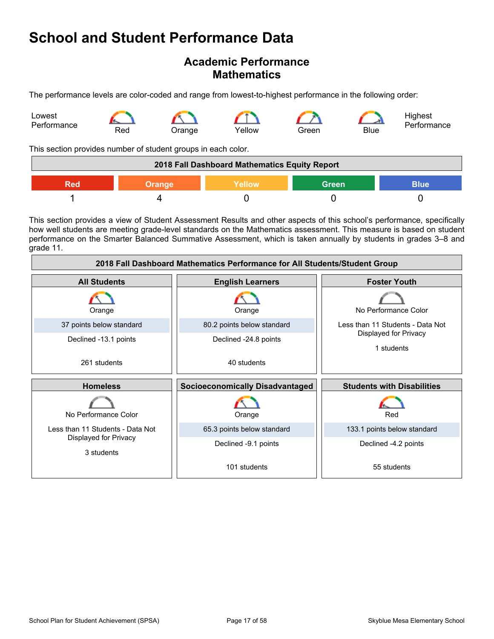### **Academic Performance Mathematics**

The performance levels are color-coded and range from lowest-to-highest performance in the following order:



This section provides number of student groups in each color.

| 2018 Fall Dashboard Mathematics Equity Report          |  |  |  |  |  |
|--------------------------------------------------------|--|--|--|--|--|
| <b>Green</b><br><b>Blue</b><br>Yellow<br>Orange<br>Red |  |  |  |  |  |
|                                                        |  |  |  |  |  |

This section provides a view of Student Assessment Results and other aspects of this school's performance, specifically how well students are meeting grade-level standards on the Mathematics assessment. This measure is based on student performance on the Smarter Balanced Summative Assessment, which is taken annually by students in grades 3–8 and grade 11.

| 2018 Fall Dashboard Mathematics Performance for All Students/Student Group |                                        |                                     |  |  |  |  |
|----------------------------------------------------------------------------|----------------------------------------|-------------------------------------|--|--|--|--|
| <b>All Students</b>                                                        | <b>English Learners</b>                | <b>Foster Youth</b>                 |  |  |  |  |
| Orange                                                                     | Orange                                 | No Performance Color                |  |  |  |  |
| 37 points below standard                                                   | 80.2 points below standard             | Less than 11 Students - Data Not    |  |  |  |  |
| Declined -13.1 points                                                      | Declined -24.8 points                  | Displayed for Privacy<br>1 students |  |  |  |  |
| 261 students                                                               | 40 students                            |                                     |  |  |  |  |
| <b>Homeless</b>                                                            | <b>Socioeconomically Disadvantaged</b> | <b>Students with Disabilities</b>   |  |  |  |  |
| No Performance Color                                                       | Orange                                 | Red                                 |  |  |  |  |
| Less than 11 Students - Data Not                                           | 65.3 points below standard             | 133.1 points below standard         |  |  |  |  |
| Displayed for Privacy<br>3 students                                        | Declined -9.1 points                   | Declined -4.2 points                |  |  |  |  |
|                                                                            | 101 students                           | 55 students                         |  |  |  |  |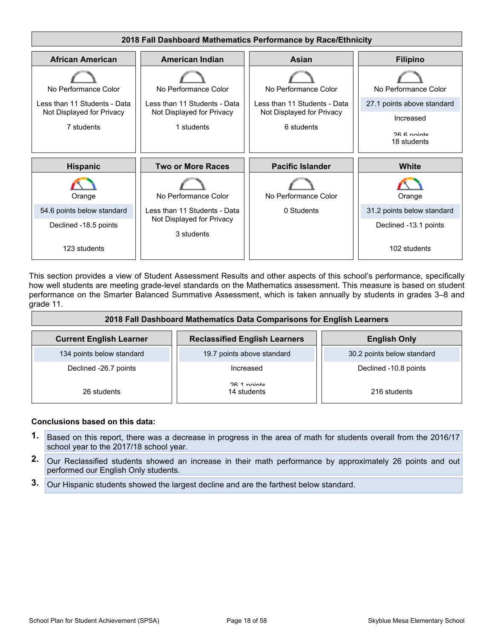

This section provides a view of Student Assessment Results and other aspects of this school's performance, specifically how well students are meeting grade-level standards on the Mathematics assessment. This measure is based on student performance on the Smarter Balanced Summative Assessment, which is taken annually by students in grades 3–8 and grade 11.

| 2018 Fall Dashboard Mathematics Data Comparisons for English Learners |                                      |                            |  |  |  |  |
|-----------------------------------------------------------------------|--------------------------------------|----------------------------|--|--|--|--|
| <b>Current English Learner</b>                                        | <b>Reclassified English Learners</b> | <b>English Only</b>        |  |  |  |  |
| 134 points below standard                                             | 19.7 points above standard           | 30.2 points below standard |  |  |  |  |
| Declined -26.7 points                                                 | Increased                            | Declined -10.8 points      |  |  |  |  |
| 26 students                                                           | 26.1 nointe<br>14 students           | 216 students               |  |  |  |  |

#### **Conclusions based on this data:**

- **1.** Based on this report, there was a decrease in progress in the area of math for students overall from the 2016/17 school year to the 2017/18 school year.
- **2.** Our Reclassified students showed an increase in their math performance by approximately 26 points and out performed our English Only students.
- **3.** Our Hispanic students showed the largest decline and are the farthest below standard.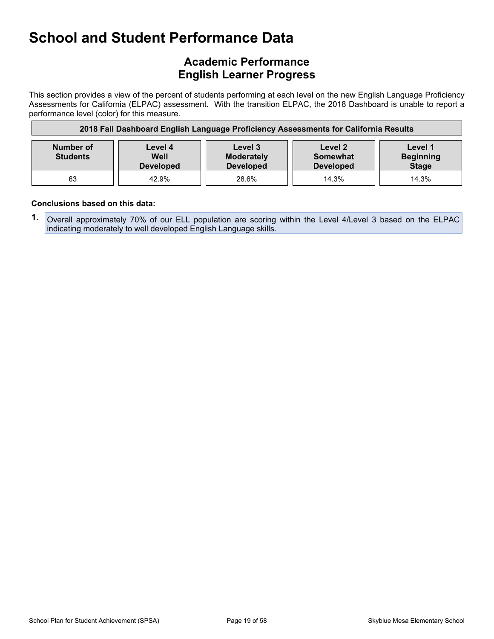# **Academic Performance English Learner Progress**

This section provides a view of the percent of students performing at each level on the new English Language Proficiency Assessments for California (ELPAC) assessment. With the transition ELPAC, the 2018 Dashboard is unable to report a performance level (color) for this measure.

| 2018 Fall Dashboard English Language Proficiency Assessments for California Results |                                     |                                                  |                                                |                                             |  |  |
|-------------------------------------------------------------------------------------|-------------------------------------|--------------------------------------------------|------------------------------------------------|---------------------------------------------|--|--|
| Number of<br><b>Students</b>                                                        | Level 4<br>Well<br><b>Developed</b> | Level 3<br><b>Moderately</b><br><b>Developed</b> | Level 2<br><b>Somewhat</b><br><b>Developed</b> | Level 1<br><b>Beginning</b><br><b>Stage</b> |  |  |
| 63                                                                                  | 42.9%                               | 28.6%                                            | 14.3%                                          | 14.3%                                       |  |  |

#### **Conclusions based on this data:**

**1.** Overall approximately 70% of our ELL population are scoring within the Level 4/Level 3 based on the ELPAC indicating moderately to well developed English Language skills.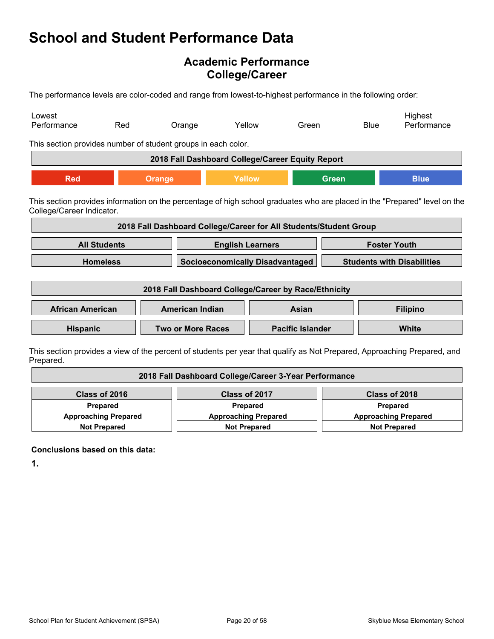# **Academic Performance College/Career**

The performance levels are color-coded and range from lowest-to-highest performance in the following order:

| Lowest<br>Performance                                                                                                                                   | Red                 | Orange                                                            | Yellow                  | Green                                  |              | <b>Blue</b>  | Highest<br>Performance                                                                                                   |
|---------------------------------------------------------------------------------------------------------------------------------------------------------|---------------------|-------------------------------------------------------------------|-------------------------|----------------------------------------|--------------|--------------|--------------------------------------------------------------------------------------------------------------------------|
| This section provides number of student groups in each color.                                                                                           |                     |                                                                   |                         |                                        |              |              |                                                                                                                          |
|                                                                                                                                                         |                     | 2018 Fall Dashboard College/Career Equity Report                  |                         |                                        |              |              |                                                                                                                          |
| <b>Red</b>                                                                                                                                              |                     | <b>Orange</b>                                                     | Yellow                  |                                        | <b>Green</b> |              | <b>Blue</b>                                                                                                              |
| This section provides information on the percentage of high school graduates who are placed in the "Prepared" level on the<br>College/Career Indicator. |                     |                                                                   |                         |                                        |              |              |                                                                                                                          |
|                                                                                                                                                         |                     | 2018 Fall Dashboard College/Career for All Students/Student Group |                         |                                        |              |              |                                                                                                                          |
|                                                                                                                                                         | <b>All Students</b> |                                                                   | <b>English Learners</b> |                                        |              |              | <b>Foster Youth</b>                                                                                                      |
|                                                                                                                                                         | <b>Homeless</b>     |                                                                   |                         | <b>Socioeconomically Disadvantaged</b> |              |              | <b>Students with Disabilities</b>                                                                                        |
|                                                                                                                                                         |                     | 2018 Fall Dashboard College/Career by Race/Ethnicity              |                         |                                        |              |              |                                                                                                                          |
| <b>African American</b>                                                                                                                                 |                     | <b>American Indian</b>                                            |                         | Asian                                  |              |              | <b>Filipino</b>                                                                                                          |
| <b>Two or More Races</b><br><b>Hispanic</b>                                                                                                             |                     |                                                                   | <b>Pacific Islander</b> |                                        |              | <b>White</b> |                                                                                                                          |
|                                                                                                                                                         |                     |                                                                   |                         |                                        |              |              | This section provides a view of the percent of students per vear that qualify as Not Prepared. Approaching Prepared, and |

ection provides a view of the percent of students per year that qualify as Not Prepared, Approaching Prepared, and Prepared.

| 2018 Fall Dashboard College/Career 3-Year Performance |                             |                             |  |  |
|-------------------------------------------------------|-----------------------------|-----------------------------|--|--|
| Class of 2016<br>Class of 2017<br>Class of 2018       |                             |                             |  |  |
| <b>Prepared</b>                                       | Prepared                    | Prepared                    |  |  |
| <b>Approaching Prepared</b>                           | <b>Approaching Prepared</b> | <b>Approaching Prepared</b> |  |  |
| <b>Not Prepared</b>                                   | <b>Not Prepared</b>         | <b>Not Prepared</b>         |  |  |

**Conclusions based on this data:**

**1.**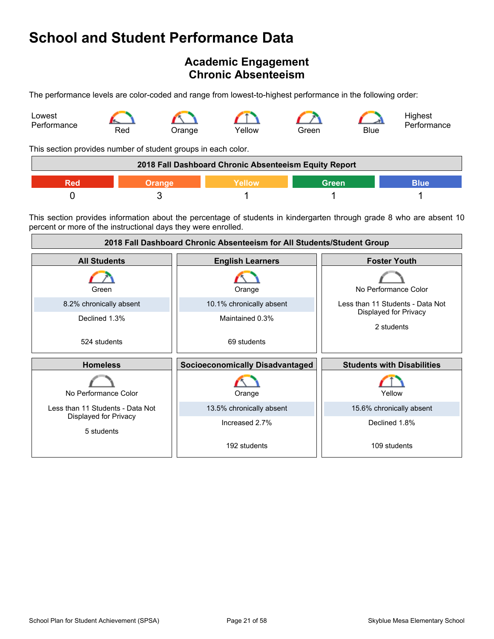# <span id="page-20-0"></span>**Academic Engagement Chronic Absenteeism**

The performance levels are color-coded and range from lowest-to-highest performance in the following order:



This section provides number of student groups in each color.

| 2018 Fall Dashboard Chronic Absenteeism Equity Report |  |               |       |      |
|-------------------------------------------------------|--|---------------|-------|------|
|                                                       |  | <b>Nellow</b> | Green | ۱۱۱۵ |
|                                                       |  |               |       |      |

This section provides information about the percentage of students in kindergarten through grade 8 who are absent 10 percent or more of the instructional days they were enrolled.

| 2018 Fall Dashboard Chronic Absenteeism for All Students/Student Group |                                        |                                     |  |
|------------------------------------------------------------------------|----------------------------------------|-------------------------------------|--|
| <b>All Students</b>                                                    | <b>English Learners</b>                | <b>Foster Youth</b>                 |  |
| Green                                                                  | Orange                                 | No Performance Color                |  |
| 8.2% chronically absent                                                | 10.1% chronically absent               | Less than 11 Students - Data Not    |  |
| Declined 1.3%                                                          | Maintained 0.3%                        | Displayed for Privacy<br>2 students |  |
| 524 students                                                           | 69 students                            |                                     |  |
| <b>Homeless</b>                                                        | <b>Socioeconomically Disadvantaged</b> | <b>Students with Disabilities</b>   |  |
| No Performance Color                                                   | Orange                                 | Yellow                              |  |
| Less than 11 Students - Data Not                                       | 13.5% chronically absent               | 15.6% chronically absent            |  |
| Displayed for Privacy<br>5 students                                    | Increased 2.7%                         | Declined 1.8%                       |  |
|                                                                        | 192 students                           | 109 students                        |  |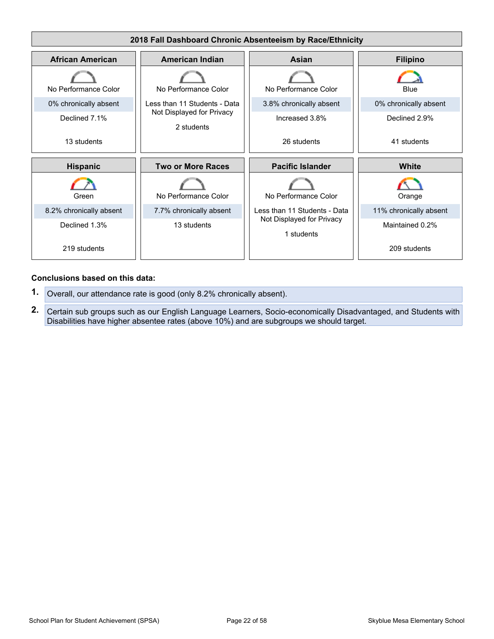

#### **Conclusions based on this data:**

- **1.** Overall, our attendance rate is good (only 8.2% chronically absent).
- **2.** Certain sub groups such as our English Language Learners, Socio-economically Disadvantaged, and Students with Disabilities have higher absentee rates (above 10%) and are subgroups we should target.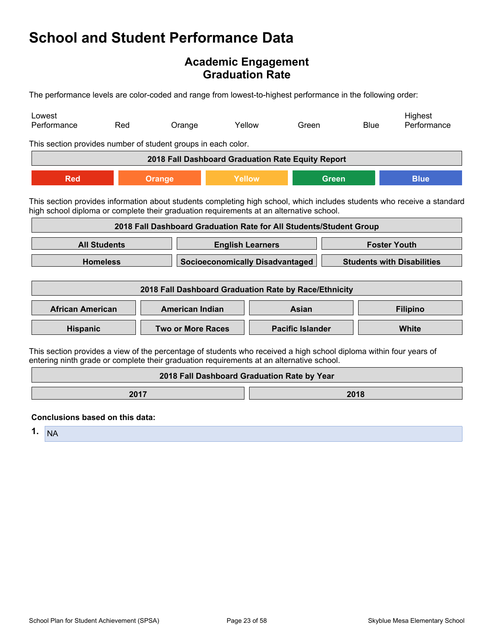### **Academic Engagement Graduation Rate**

The performance levels are color-coded and range from lowest-to-highest performance in the following order:

| Lowest<br>Performance                                                                                                                                                                                              | Red                 | Orange                                                             | Yellow                                 |  | Green                   |                                   | Highest<br><b>Blue</b><br>Performance |  |
|--------------------------------------------------------------------------------------------------------------------------------------------------------------------------------------------------------------------|---------------------|--------------------------------------------------------------------|----------------------------------------|--|-------------------------|-----------------------------------|---------------------------------------|--|
| This section provides number of student groups in each color.                                                                                                                                                      |                     |                                                                    |                                        |  |                         |                                   |                                       |  |
|                                                                                                                                                                                                                    |                     | 2018 Fall Dashboard Graduation Rate Equity Report                  |                                        |  |                         |                                   |                                       |  |
| <b>Red</b>                                                                                                                                                                                                         |                     | <b>Orange</b>                                                      | <b>Yellow</b>                          |  |                         | <b>Green</b>                      | <b>Blue</b>                           |  |
| This section provides information about students completing high school, which includes students who receive a standard<br>high school diploma or complete their graduation requirements at an alternative school. |                     | 2018 Fall Dashboard Graduation Rate for All Students/Student Group |                                        |  |                         |                                   |                                       |  |
|                                                                                                                                                                                                                    | <b>All Students</b> |                                                                    | <b>English Learners</b>                |  |                         |                                   | <b>Foster Youth</b>                   |  |
|                                                                                                                                                                                                                    | <b>Homeless</b>     |                                                                    | <b>Socioeconomically Disadvantaged</b> |  |                         | <b>Students with Disabilities</b> |                                       |  |
|                                                                                                                                                                                                                    |                     |                                                                    |                                        |  |                         |                                   |                                       |  |
|                                                                                                                                                                                                                    |                     | 2018 Fall Dashboard Graduation Rate by Race/Ethnicity              |                                        |  |                         |                                   |                                       |  |
| <b>African American</b>                                                                                                                                                                                            |                     | <b>American Indian</b>                                             |                                        |  | <b>Asian</b>            |                                   | <b>Filipino</b>                       |  |
| <b>Hispanic</b>                                                                                                                                                                                                    |                     | <b>Two or More Races</b>                                           |                                        |  | <b>Pacific Islander</b> |                                   | White                                 |  |
| This section provides a view of the percentage of students who received a high school diploma within four years of<br>entering ninth grade or complete their graduation requirements at an alternative school.     |                     |                                                                    |                                        |  |                         |                                   |                                       |  |
|                                                                                                                                                                                                                    |                     | 2018 Fall Dashboard Graduation Rate by Year                        |                                        |  |                         |                                   |                                       |  |
|                                                                                                                                                                                                                    | 2017                |                                                                    |                                        |  |                         | 2018                              |                                       |  |
| Conclusions has ad on this data.                                                                                                                                                                                   |                     |                                                                    |                                        |  |                         |                                   |                                       |  |

**Conclusions based on this data:**

**1.** NA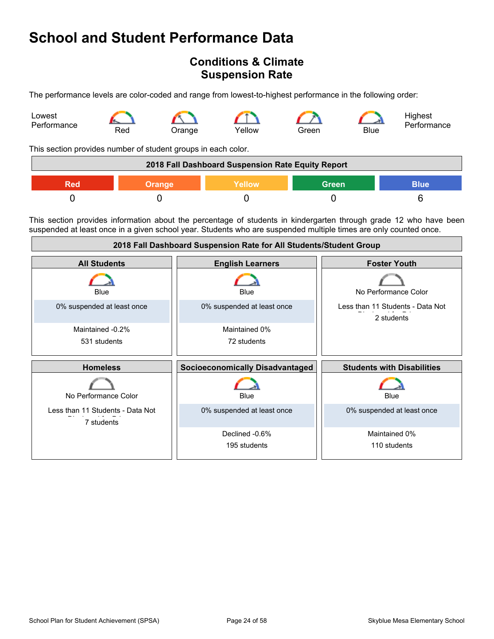# <span id="page-23-0"></span>**Conditions & Climate Suspension Rate**

The performance levels are color-coded and range from lowest-to-highest performance in the following order:



This section provides number of student groups in each color.

|     |               | 2018 Fall Dashboard Suspension Rate Equity Report |              |             |
|-----|---------------|---------------------------------------------------|--------------|-------------|
| Red | <b>Orange</b> | Yellow                                            | <b>Green</b> | <b>Blue</b> |
|     |               |                                                   |              |             |

This section provides information about the percentage of students in kindergarten through grade 12 who have been suspended at least once in a given school year. Students who are suspended multiple times are only counted once.

| 2018 Fall Dashboard Suspension Rate for All Students/Student Group |                                        |                                                |  |
|--------------------------------------------------------------------|----------------------------------------|------------------------------------------------|--|
| <b>All Students</b>                                                | <b>English Learners</b>                | <b>Foster Youth</b>                            |  |
| Blue                                                               | <b>Blue</b>                            | No Performance Color                           |  |
| 0% suspended at least once                                         | 0% suspended at least once             | Less than 11 Students - Data Not<br>2 students |  |
| Maintained -0.2%                                                   | Maintained 0%                          |                                                |  |
| 531 students                                                       | 72 students                            |                                                |  |
|                                                                    |                                        |                                                |  |
| <b>Homeless</b>                                                    | <b>Socioeconomically Disadvantaged</b> | <b>Students with Disabilities</b>              |  |
| No Performance Color                                               | Blue                                   | Blue                                           |  |
| Less than 11 Students - Data Not<br>7 students                     | 0% suspended at least once             | 0% suspended at least once                     |  |
|                                                                    | Declined -0.6%                         | Maintained 0%                                  |  |
|                                                                    | 195 students                           | 110 students                                   |  |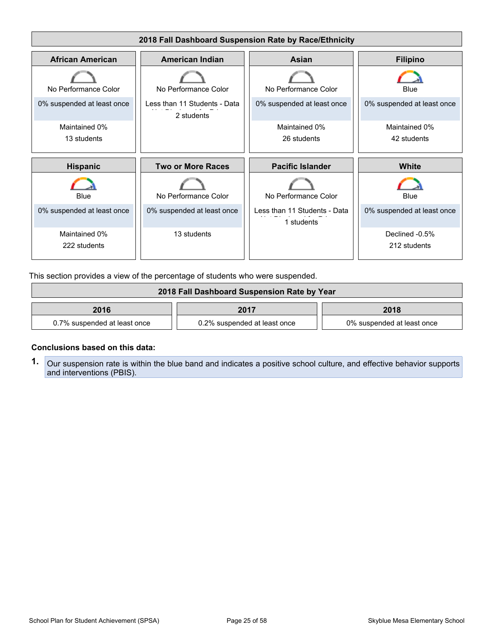

This section provides a view of the percentage of students who were suspended.

| 2018 Fall Dashboard Suspension Rate by Year |                              |                            |  |
|---------------------------------------------|------------------------------|----------------------------|--|
| 2016                                        | 2017                         | 2018                       |  |
| 0.7% suspended at least once                | 0.2% suspended at least once | 0% suspended at least once |  |

#### **Conclusions based on this data:**

**1.** Our suspension rate is within the blue band and indicates a positive school culture, and effective behavior supports and interventions (PBIS).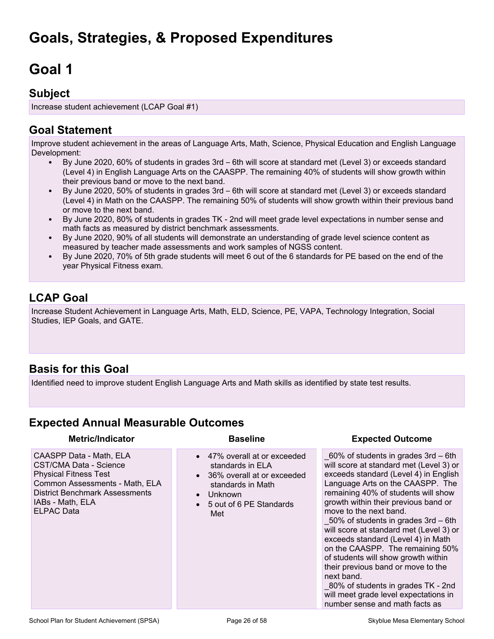# <span id="page-25-1"></span><span id="page-25-0"></span>**Goal 1**

### **Subject**

Increase student achievement (LCAP Goal #1)

# **Goal Statement**

Improve student achievement in the areas of Language Arts, Math, Science, Physical Education and English Language Development:

- By June 2020, 60% of students in grades 3rd 6th will score at standard met (Level 3) or exceeds standard (Level 4) in English Language Arts on the CAASPP. The remaining 40% of students will show growth within their previous band or move to the next band.
- By June 2020, 50% of students in grades 3rd 6th will score at standard met (Level 3) or exceeds standard (Level 4) in Math on the CAASPP. The remaining 50% of students will show growth within their previous band or move to the next band.
- By June 2020, 80% of students in grades TK 2nd will meet grade level expectations in number sense and math facts as measured by district benchmark assessments.
- By June 2020, 90% of all students will demonstrate an understanding of grade level science content as measured by teacher made assessments and work samples of NGSS content.
- By June 2020, 70% of 5th grade students will meet 6 out of the 6 standards for PE based on the end of the year Physical Fitness exam.

# **LCAP Goal**

Increase Student Achievement in Language Arts, Math, ELD, Science, PE, VAPA, Technology Integration, Social Studies, IEP Goals, and GATE.

# **Basis for this Goal**

Identified need to improve student English Language Arts and Math skills as identified by state test results.

### **Expected Annual Measurable Outcomes**

CAASPP Data - Math, ELA CST/CMA Data - Science Physical Fitness Test Common Assessments - Math, ELA District Benchmark Assessments IABs - Math, ELA ELPAC Data

- 47% overall at or exceeded standards in ELA
- 36% overall at or exceeded standards in Math
- Unknown
- 5 out of 6 PE Standards Met

#### **Metric/Indicator Baseline Expected Outcome**

 $60\%$  of students in grades 3rd – 6th will score at standard met (Level 3) or exceeds standard (Level 4) in English Language Arts on the CAASPP. The remaining 40% of students will show growth within their previous band or move to the next band.

\_50% of students in grades 3rd – 6th will score at standard met (Level 3) or exceeds standard (Level 4) in Math on the CAASPP. The remaining 50% of students will show growth within their previous band or move to the next band.

\_80% of students in grades TK - 2nd will meet grade level expectations in number sense and math facts as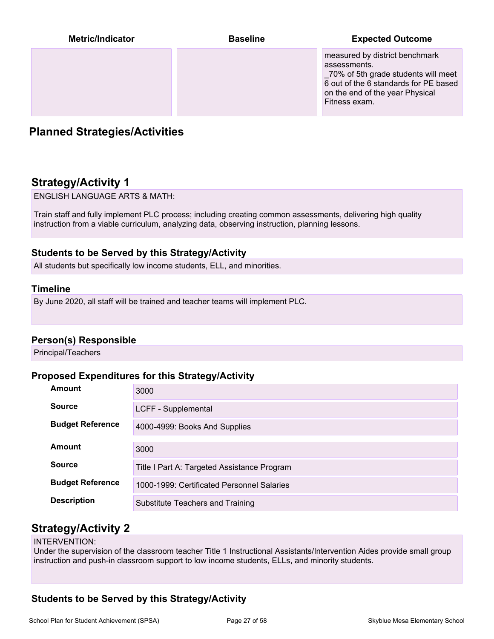| Metric/Indicator | <b>Baseline</b> | <b>Expected Outcome</b>                                                                                                                                                             |
|------------------|-----------------|-------------------------------------------------------------------------------------------------------------------------------------------------------------------------------------|
|                  |                 | measured by district benchmark<br>assessments.<br>_70% of 5th grade students will meet<br>6 out of the 6 standards for PE based<br>on the end of the year Physical<br>Fitness exam. |

# **Planned Strategies/Activities**

# **Strategy/Activity 1**

ENGLISH LANGUAGE ARTS & MATH:

Train staff and fully implement PLC process; including creating common assessments, delivering high quality instruction from a viable curriculum, analyzing data, observing instruction, planning lessons.

#### **Students to be Served by this Strategy/Activity**

All students but specifically low income students, ELL, and minorities.

#### **Timeline**

By June 2020, all staff will be trained and teacher teams will implement PLC.

#### **Person(s) Responsible**

Principal/Teachers

#### **Proposed Expenditures for this Strategy/Activity**

| <b>Amount</b>           | 3000                                        |
|-------------------------|---------------------------------------------|
| <b>Source</b>           | LCFF - Supplemental                         |
| <b>Budget Reference</b> | 4000-4999: Books And Supplies               |
| Amount                  | 3000                                        |
| <b>Source</b>           | Title I Part A: Targeted Assistance Program |
| <b>Budget Reference</b> | 1000-1999: Certificated Personnel Salaries  |
| <b>Description</b>      | Substitute Teachers and Training            |

### **Strategy/Activity 2**

#### INTERVENTION:

Under the supervision of the classroom teacher Title 1 Instructional Assistants/Intervention Aides provide small group instruction and push-in classroom support to low income students, ELLs, and minority students.

### **Students to be Served by this Strategy/Activity**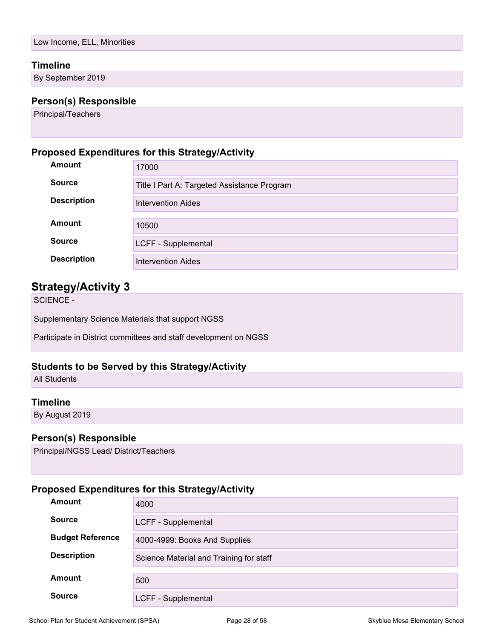#### **Timeline**

By September 2019

#### **Person(s) Responsible**

Principal/Teachers

#### **Proposed Expenditures for this Strategy/Activity**

| Amount             | 17000                                       |
|--------------------|---------------------------------------------|
| <b>Source</b>      | Title I Part A: Targeted Assistance Program |
| <b>Description</b> | Intervention Aides                          |
| Amount             |                                             |
|                    | 10500                                       |
| <b>Source</b>      | LCFF - Supplemental                         |
| <b>Description</b> | <b>Intervention Aides</b>                   |

### **Strategy/Activity 3**

SCIENCE -

Supplementary Science Materials that support NGSS

Participate in District committees and staff development on NGSS

#### **Students to be Served by this Strategy/Activity**

All Students

#### **Timeline**

By August 2019

#### **Person(s) Responsible**

Principal/NGSS Lead/ District/Teachers

| <b>Amount</b>           | 4000                                    |
|-------------------------|-----------------------------------------|
| <b>Source</b>           | LCFF - Supplemental                     |
| <b>Budget Reference</b> | 4000-4999: Books And Supplies           |
| <b>Description</b>      | Science Material and Training for staff |
| <b>Amount</b>           | 500                                     |
| <b>Source</b>           | LCFF - Supplemental                     |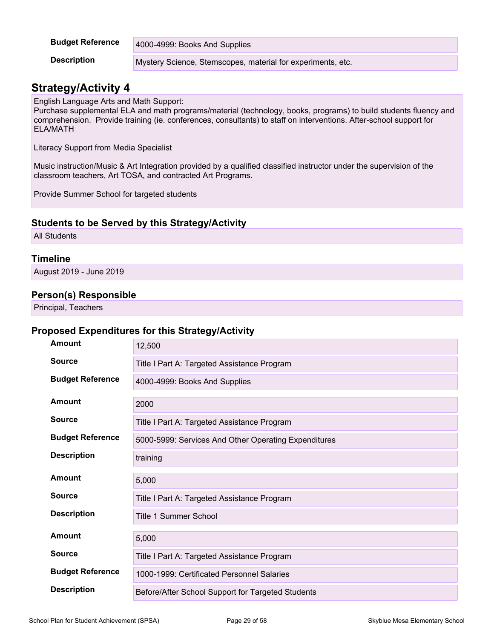| <b>Budget Reference</b> | 4000-4999: Books And Supplies                               |
|-------------------------|-------------------------------------------------------------|
| <b>Description</b>      | Mystery Science, Stemscopes, material for experiments, etc. |

# **Strategy/Activity 4**

English Language Arts and Math Support:

Purchase supplemental ELA and math programs/material (technology, books, programs) to build students fluency and comprehension. Provide training (ie. conferences, consultants) to staff on interventions. After-school support for ELA/MATH

Literacy Support from Media Specialist

Music instruction/Music & Art Integration provided by a qualified classified instructor under the supervision of the classroom teachers, Art TOSA, and contracted Art Programs.

Provide Summer School for targeted students

#### **Students to be Served by this Strategy/Activity**

All Students

#### **Timeline**

August 2019 - June 2019

#### **Person(s) Responsible**

Principal, Teachers

| <b>Amount</b>           | 12,500                                               |
|-------------------------|------------------------------------------------------|
| <b>Source</b>           | Title I Part A: Targeted Assistance Program          |
| <b>Budget Reference</b> | 4000-4999: Books And Supplies                        |
| Amount                  | 2000                                                 |
| <b>Source</b>           | Title I Part A: Targeted Assistance Program          |
| <b>Budget Reference</b> | 5000-5999: Services And Other Operating Expenditures |
| <b>Description</b>      | training                                             |
| <b>Amount</b>           | 5,000                                                |
|                         |                                                      |
| <b>Source</b>           | Title I Part A: Targeted Assistance Program          |
| <b>Description</b>      | Title 1 Summer School                                |
| Amount                  | 5,000                                                |
| <b>Source</b>           | Title I Part A: Targeted Assistance Program          |
| <b>Budget Reference</b> | 1000-1999: Certificated Personnel Salaries           |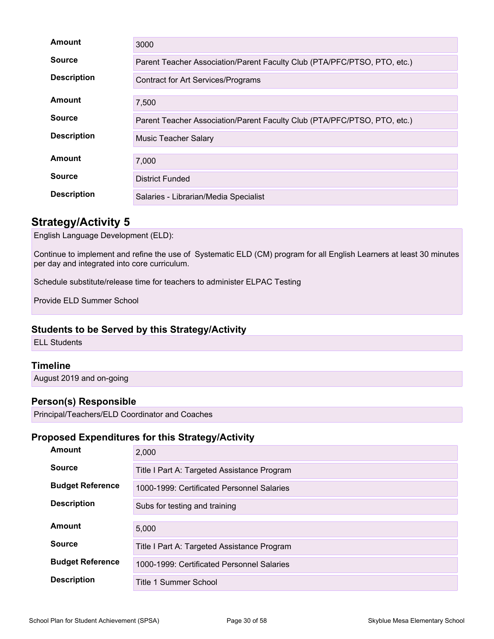| Amount             | 3000                                                                     |  |
|--------------------|--------------------------------------------------------------------------|--|
| <b>Source</b>      | Parent Teacher Association/Parent Faculty Club (PTA/PFC/PTSO, PTO, etc.) |  |
| <b>Description</b> | <b>Contract for Art Services/Programs</b>                                |  |
| Amount             | 7,500                                                                    |  |
| <b>Source</b>      | Parent Teacher Association/Parent Faculty Club (PTA/PFC/PTSO, PTO, etc.) |  |
| <b>Description</b> | <b>Music Teacher Salary</b>                                              |  |
| Amount             | 7,000                                                                    |  |
| <b>Source</b>      | <b>District Funded</b>                                                   |  |
| <b>Description</b> | Salaries - Librarian/Media Specialist                                    |  |

# **Strategy/Activity 5**

English Language Development (ELD):

Continue to implement and refine the use of Systematic ELD (CM) program for all English Learners at least 30 minutes per day and integrated into core curriculum.

Schedule substitute/release time for teachers to administer ELPAC Testing

Provide ELD Summer School

#### **Students to be Served by this Strategy/Activity**

ELL Students

#### **Timeline**

August 2019 and on-going

### **Person(s) Responsible**

Principal/Teachers/ELD Coordinator and Coaches

| <b>Amount</b>           | 2,000                                       |  |
|-------------------------|---------------------------------------------|--|
| <b>Source</b>           | Title I Part A: Targeted Assistance Program |  |
| <b>Budget Reference</b> | 1000-1999: Certificated Personnel Salaries  |  |
| <b>Description</b>      | Subs for testing and training               |  |
|                         |                                             |  |
| Amount                  | 5.000                                       |  |
|                         |                                             |  |
| <b>Source</b>           | Title I Part A: Targeted Assistance Program |  |
| <b>Budget Reference</b> | 1000-1999: Certificated Personnel Salaries  |  |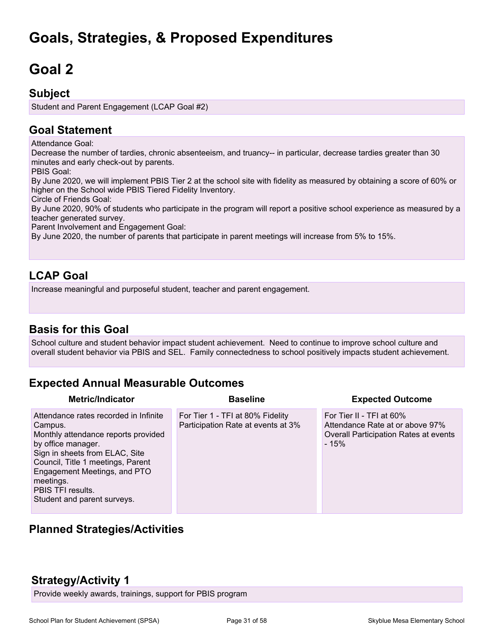# **Goals, Strategies, & Proposed Expenditures**

# <span id="page-30-0"></span>**Goal 2**

### **Subject**

Student and Parent Engagement (LCAP Goal #2)

# **Goal Statement**

Attendance Goal:

Decrease the number of tardies, chronic absenteeism, and truancy-- in particular, decrease tardies greater than 30 minutes and early check-out by parents.

PBIS Goal:

By June 2020, we will implement PBIS Tier 2 at the school site with fidelity as measured by obtaining a score of 60% or higher on the School wide PBIS Tiered Fidelity Inventory.

Circle of Friends Goal:

By June 2020, 90% of students who participate in the program will report a positive school experience as measured by a teacher generated survey.

Parent Involvement and Engagement Goal:

By June 2020, the number of parents that participate in parent meetings will increase from 5% to 15%.

# **LCAP Goal**

Increase meaningful and purposeful student, teacher and parent engagement.

# **Basis for this Goal**

School culture and student behavior impact student achievement. Need to continue to improve school culture and overall student behavior via PBIS and SEL. Family connectedness to school positively impacts student achievement.

# **Expected Annual Measurable Outcomes**

| <b>Metric/Indicator</b>                                                                                                                                                                                                                                                               | <b>Baseline</b>                                                        | <b>Expected Outcome</b>                                                                                        |
|---------------------------------------------------------------------------------------------------------------------------------------------------------------------------------------------------------------------------------------------------------------------------------------|------------------------------------------------------------------------|----------------------------------------------------------------------------------------------------------------|
| Attendance rates recorded in Infinite<br>Campus.<br>Monthly attendance reports provided<br>by office manager.<br>Sign in sheets from ELAC, Site<br>Council, Title 1 meetings, Parent<br>Engagement Meetings, and PTO<br>meetings.<br>PBIS TFI results.<br>Student and parent surveys. | For Tier 1 - TFI at 80% Fidelity<br>Participation Rate at events at 3% | For Tier II - TFI at 60%<br>Attendance Rate at or above 97%<br>Overall Participation Rates at events<br>$-15%$ |

# **Planned Strategies/Activities**

# **Strategy/Activity 1**

Provide weekly awards, trainings, support for PBIS program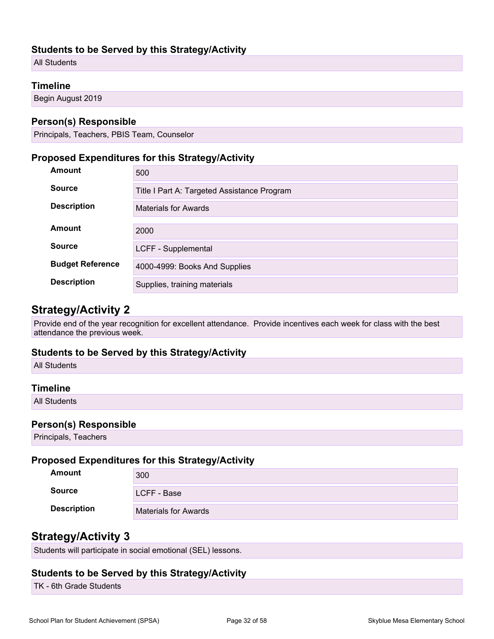#### **Students to be Served by this Strategy/Activity**

All Students

#### **Timeline**

Begin August 2019

#### **Person(s) Responsible**

Principals, Teachers, PBIS Team, Counselor

#### **Proposed Expenditures for this Strategy/Activity**

| <b>Amount</b>           | 500                                         |  |
|-------------------------|---------------------------------------------|--|
| <b>Source</b>           | Title I Part A: Targeted Assistance Program |  |
| <b>Description</b>      | <b>Materials for Awards</b>                 |  |
| Amount                  | 2000                                        |  |
| <b>Source</b>           | LCFF - Supplemental                         |  |
| <b>Budget Reference</b> | 4000-4999: Books And Supplies               |  |
| <b>Description</b>      |                                             |  |
|                         | Supplies, training materials                |  |

### **Strategy/Activity 2**

Provide end of the year recognition for excellent attendance. Provide incentives each week for class with the best attendance the previous week.

#### **Students to be Served by this Strategy/Activity**

All Students

#### **Timeline**

All Students

#### **Person(s) Responsible**

Principals, Teachers

#### **Proposed Expenditures for this Strategy/Activity**

| Amount             | 300                         |
|--------------------|-----------------------------|
| <b>Source</b>      | LCFF - Base                 |
| <b>Description</b> | <b>Materials for Awards</b> |

### **Strategy/Activity 3**

Students will participate in social emotional (SEL) lessons.

#### **Students to be Served by this Strategy/Activity**

TK - 6th Grade Students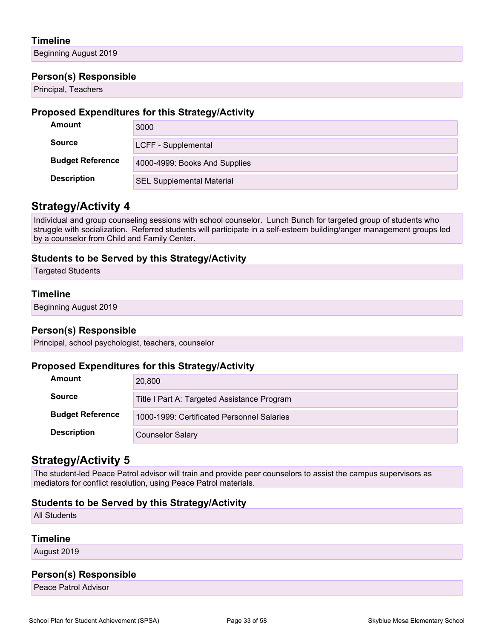#### **Timeline**

Beginning August 2019

#### **Person(s) Responsible**

Principal, Teachers

#### **Proposed Expenditures for this Strategy/Activity**

| Amount                  | 3000                             |
|-------------------------|----------------------------------|
| <b>Source</b>           | LCFF - Supplemental              |
| <b>Budget Reference</b> | 4000-4999: Books And Supplies    |
| <b>Description</b>      | <b>SEL Supplemental Material</b> |

### **Strategy/Activity 4**

Individual and group counseling sessions with school counselor. Lunch Bunch for targeted group of students who struggle with socialization. Referred students will participate in a self-esteem building/anger management groups led by a counselor from Child and Family Center.

#### **Students to be Served by this Strategy/Activity**

Targeted Students

#### **Timeline**

Beginning August 2019

#### **Person(s) Responsible**

Principal, school psychologist, teachers, counselor

#### **Proposed Expenditures for this Strategy/Activity**

| Amount                  | 20,800                                      |
|-------------------------|---------------------------------------------|
| <b>Source</b>           | Title I Part A: Targeted Assistance Program |
| <b>Budget Reference</b> | 1000-1999: Certificated Personnel Salaries  |
| <b>Description</b>      | <b>Counselor Salary</b>                     |

### **Strategy/Activity 5**

The student-led Peace Patrol advisor will train and provide peer counselors to assist the campus supervisors as mediators for conflict resolution, using Peace Patrol materials.

#### **Students to be Served by this Strategy/Activity**

All Students

#### **Timeline**

August 2019

#### **Person(s) Responsible**

Peace Patrol Advisor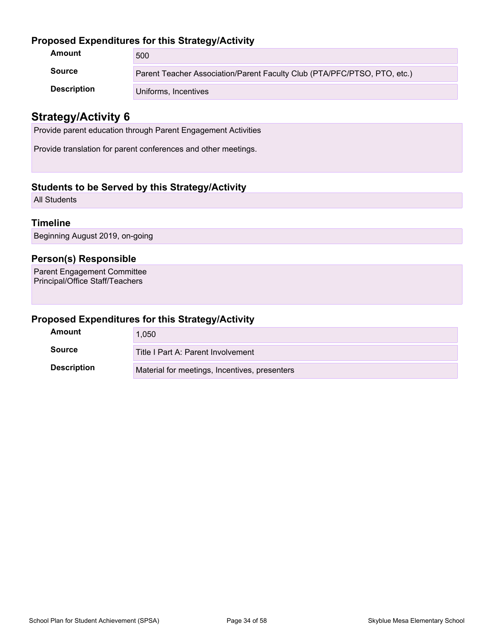#### **Proposed Expenditures for this Strategy/Activity**

| Amount             | 500                                                                      |
|--------------------|--------------------------------------------------------------------------|
| <b>Source</b>      | Parent Teacher Association/Parent Faculty Club (PTA/PFC/PTSO, PTO, etc.) |
| <b>Description</b> | Uniforms, Incentives                                                     |

### **Strategy/Activity 6**

Provide parent education through Parent Engagement Activities

Provide translation for parent conferences and other meetings.

#### **Students to be Served by this Strategy/Activity**

All Students

#### **Timeline**

Beginning August 2019, on-going

#### **Person(s) Responsible**

Parent Engagement Committee Principal/Office Staff/Teachers

| Amount             | 1,050                                         |
|--------------------|-----------------------------------------------|
| Source             | Title I Part A: Parent Involvement            |
| <b>Description</b> | Material for meetings, Incentives, presenters |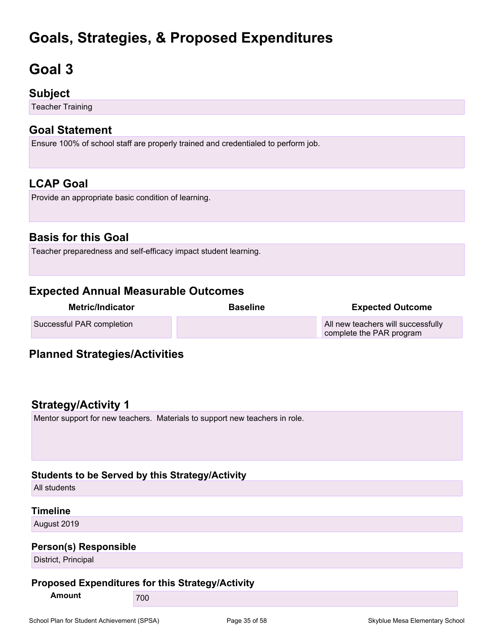# **Goals, Strategies, & Proposed Expenditures**

# <span id="page-34-0"></span>**Goal 3**

### **Subject**

Teacher Training

### **Goal Statement**

Ensure 100% of school staff are properly trained and credentialed to perform job.

# **LCAP Goal**

Provide an appropriate basic condition of learning.

# **Basis for this Goal**

Teacher preparedness and self-efficacy impact student learning.

# **Expected Annual Measurable Outcomes**

| <b>Metric/Indicator</b>   | <b>Baseline</b> | <b>Expected Outcome</b>                                        |
|---------------------------|-----------------|----------------------------------------------------------------|
| Successful PAR completion |                 | All new teachers will successfully<br>complete the PAR program |

# **Planned Strategies/Activities**

# **Strategy/Activity 1**

Mentor support for new teachers. Materials to support new teachers in role.

#### **Students to be Served by this Strategy/Activity**

All students

#### **Timeline**

August 2019

#### **Person(s) Responsible**

District, Principal

#### **Proposed Expenditures for this Strategy/Activity**

**Amount** 700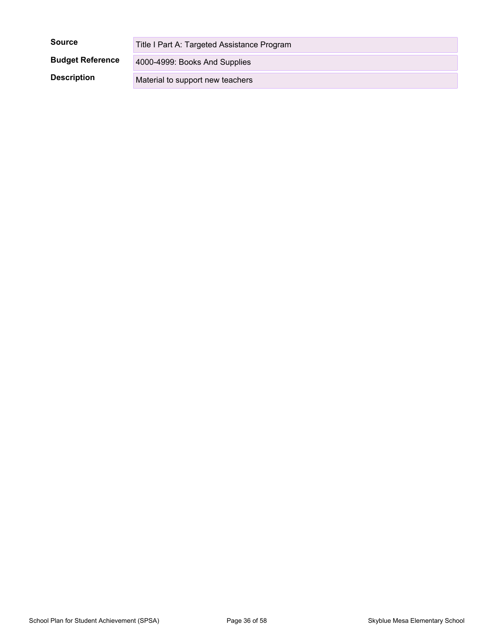| <b>Source</b>           | Title I Part A: Targeted Assistance Program |
|-------------------------|---------------------------------------------|
| <b>Budget Reference</b> | 4000-4999: Books And Supplies               |
| <b>Description</b>      | Material to support new teachers            |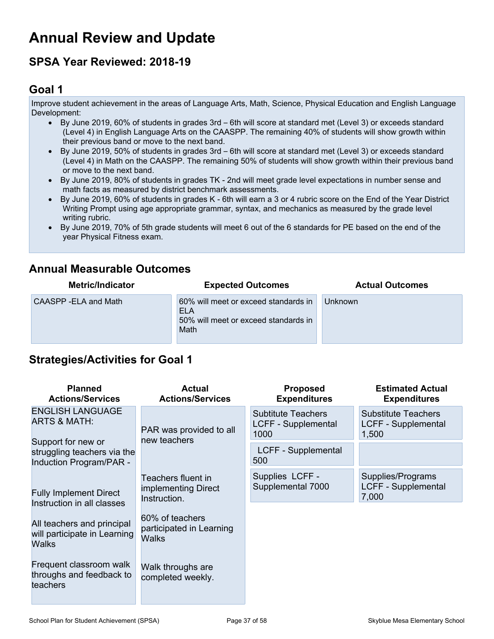# <span id="page-36-0"></span>**Annual Review and Update**

# **SPSA Year Reviewed: 2018-19**

### <span id="page-36-1"></span>**Goal 1**

Improve student achievement in the areas of Language Arts, Math, Science, Physical Education and English Language Development:

- By June 2019, 60% of students in grades 3rd 6th will score at standard met (Level 3) or exceeds standard (Level 4) in English Language Arts on the CAASPP. The remaining 40% of students will show growth within their previous band or move to the next band.
- By June 2019, 50% of students in grades 3rd 6th will score at standard met (Level 3) or exceeds standard (Level 4) in Math on the CAASPP. The remaining 50% of students will show growth within their previous band or move to the next band.
- By June 2019, 80% of students in grades TK 2nd will meet grade level expectations in number sense and math facts as measured by district benchmark assessments.
- By June 2019, 60% of students in grades K 6th will earn a 3 or 4 rubric score on the End of the Year District Writing Prompt using age appropriate grammar, syntax, and mechanics as measured by the grade level writing rubric.
- By June 2019, 70% of 5th grade students will meet 6 out of the 6 standards for PE based on the end of the year Physical Fitness exam.

### **Annual Measurable Outcomes**

| <b>Metric/Indicator</b> | <b>Expected Outcomes</b>                                                                           | <b>Actual Outcomes</b> |
|-------------------------|----------------------------------------------------------------------------------------------------|------------------------|
| CAASPP-ELA and Math     | 60% will meet or exceed standards in<br><b>ELA</b><br>50% will meet or exceed standards in<br>Math | Unknown                |

# **Strategies/Activities for Goal 1**

| <b>Planned</b><br><b>Actions/Services</b>                                    | <b>Actual</b><br><b>Actions/Services</b>                    | <b>Proposed</b><br><b>Expenditures</b>                   | <b>Estimated Actual</b><br><b>Expenditures</b>                    |
|------------------------------------------------------------------------------|-------------------------------------------------------------|----------------------------------------------------------|-------------------------------------------------------------------|
| <b>ENGLISH LANGUAGE</b><br><b>ARTS &amp; MATH:</b>                           | PAR was provided to all                                     | <b>Subtitute Teachers</b><br>LCFF - Supplemental<br>1000 | <b>Substitute Teachers</b><br><b>LCFF - Supplemental</b><br>1,500 |
| Support for new or<br>struggling teachers via the<br>Induction Program/PAR - | new teachers                                                | LCFF - Supplemental<br>500                               |                                                                   |
| <b>Fully Implement Direct</b><br>Instruction in all classes                  | Teachers fluent in<br>implementing Direct<br>Instruction.   | Supplies LCFF -<br>Supplemental 7000                     | Supplies/Programs<br>LCFF - Supplemental<br>7,000                 |
| All teachers and principal<br>will participate in Learning<br>Walks          | 60% of teachers<br>participated in Learning<br><b>Walks</b> |                                                          |                                                                   |
| Frequent classroom walk<br>throughs and feedback to<br>teachers              | Walk throughs are<br>completed weekly.                      |                                                          |                                                                   |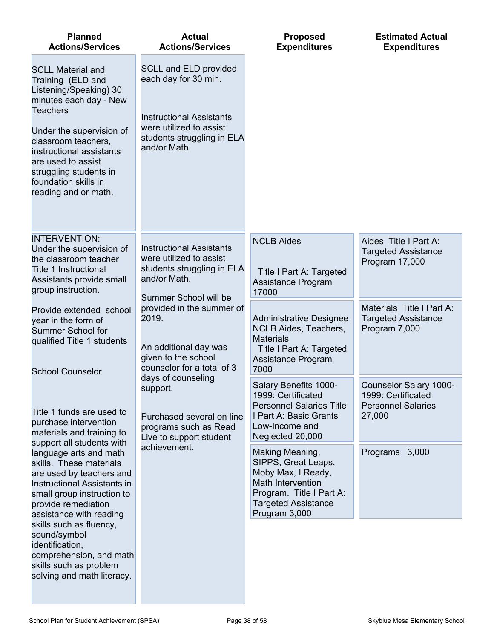| <b>Planned</b><br><b>Actions/Services</b>                                                                                                                                                                                                                                                           | <b>Actual</b><br><b>Actions/Services</b>                                                                                                                         | <b>Proposed</b><br><b>Expenditures</b>                                                                                                                       | <b>Estimated Actual</b><br><b>Expenditures</b>                                      |
|-----------------------------------------------------------------------------------------------------------------------------------------------------------------------------------------------------------------------------------------------------------------------------------------------------|------------------------------------------------------------------------------------------------------------------------------------------------------------------|--------------------------------------------------------------------------------------------------------------------------------------------------------------|-------------------------------------------------------------------------------------|
| <b>SCLL Material and</b><br>Training (ELD and<br>Listening/Speaking) 30<br>minutes each day - New<br><b>Teachers</b><br>Under the supervision of<br>classroom teachers,<br>instructional assistants<br>are used to assist<br>struggling students in<br>foundation skills in<br>reading and or math. | <b>SCLL and ELD provided</b><br>each day for 30 min.<br><b>Instructional Assistants</b><br>were utilized to assist<br>students struggling in ELA<br>and/or Math. |                                                                                                                                                              |                                                                                     |
| <b>INTERVENTION:</b><br>Under the supervision of<br>the classroom teacher<br><b>Title 1 Instructional</b><br>Assistants provide small<br>group instruction.                                                                                                                                         | <b>Instructional Assistants</b><br>were utilized to assist<br>students struggling in ELA<br>and/or Math.<br>Summer School will be                                | <b>NCLB Aides</b><br>Title I Part A: Targeted<br>Assistance Program<br>17000                                                                                 | Aides Title I Part A:<br><b>Targeted Assistance</b><br>Program 17,000               |
| Provide extended school<br>year in the form of<br>Summer School for<br>qualified Title 1 students<br><b>School Counselor</b>                                                                                                                                                                        | provided in the summer of<br>2019.<br>An additional day was<br>given to the school<br>counselor for a total of 3                                                 | <b>Administrative Designee</b><br>NCLB Aides, Teachers,<br><b>Materials</b><br>Title I Part A: Targeted<br>Assistance Program<br>7000                        | Materials Title I Part A:<br><b>Targeted Assistance</b><br>Program 7,000            |
| Title 1 funds are used to<br>purchase intervention<br>materials and training to                                                                                                                                                                                                                     | days of counseling<br>support.<br>Purchased several on line<br>programs such as Read<br>Live to support student                                                  | Salary Benefits 1000-<br>1999: Certificated<br><b>Personnel Salaries Title</b><br>I Part A: Basic Grants<br>Low-Income and<br>Neglected 20,000               | Counselor Salary 1000-<br>1999: Certificated<br><b>Personnel Salaries</b><br>27,000 |
| support all students with<br>language arts and math<br>skills. These materials<br>are used by teachers and<br>Instructional Assistants in<br>small group instruction to<br>provide remediation<br>assistance with reading                                                                           | achievement.                                                                                                                                                     | Making Meaning,<br>SIPPS, Great Leaps,<br>Moby Max, I Ready,<br>Math Intervention<br>Program. Title I Part A:<br><b>Targeted Assistance</b><br>Program 3,000 | Programs<br>3,000                                                                   |
| skills such as fluency,<br>sound/symbol<br>identification,<br>comprehension, and math<br>skills such as problem<br>solving and math literacy.                                                                                                                                                       |                                                                                                                                                                  |                                                                                                                                                              |                                                                                     |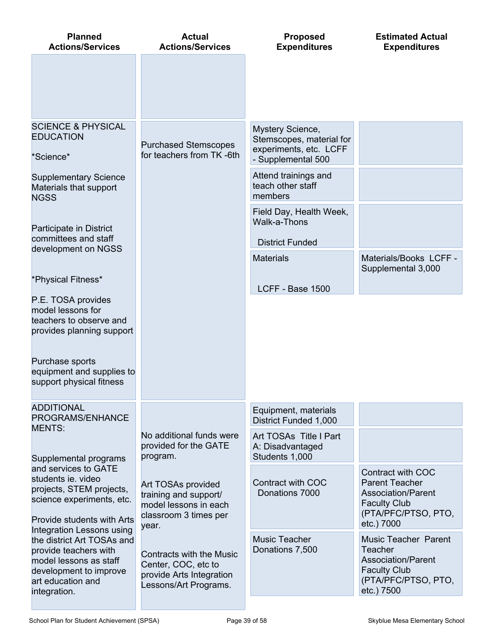| <b>Planned</b><br><b>Actions/Services</b>                                                                                                                                 | <b>Actual</b><br><b>Actions/Services</b>                                                                      | <b>Proposed</b><br><b>Expenditures</b>                                                       | <b>Estimated Actual</b><br><b>Expenditures</b>                                                                                                |
|---------------------------------------------------------------------------------------------------------------------------------------------------------------------------|---------------------------------------------------------------------------------------------------------------|----------------------------------------------------------------------------------------------|-----------------------------------------------------------------------------------------------------------------------------------------------|
|                                                                                                                                                                           |                                                                                                               |                                                                                              |                                                                                                                                               |
| <b>SCIENCE &amp; PHYSICAL</b><br><b>EDUCATION</b><br>*Science*                                                                                                            | <b>Purchased Stemscopes</b><br>for teachers from TK-6th                                                       | Mystery Science,<br>Stemscopes, material for<br>experiments, etc. LCFF<br>- Supplemental 500 |                                                                                                                                               |
| <b>Supplementary Science</b><br>Materials that support<br><b>NGSS</b>                                                                                                     |                                                                                                               | Attend trainings and<br>teach other staff<br>members                                         |                                                                                                                                               |
| Participate in District<br>committees and staff                                                                                                                           |                                                                                                               | Field Day, Health Week,<br>Walk-a-Thons                                                      |                                                                                                                                               |
| development on NGSS                                                                                                                                                       |                                                                                                               | <b>District Funded</b><br><b>Materials</b>                                                   | Materials/Books LCFF -<br>Supplemental 3,000                                                                                                  |
| *Physical Fitness*                                                                                                                                                        |                                                                                                               | LCFF - Base 1500                                                                             |                                                                                                                                               |
| P.E. TOSA provides<br>model lessons for<br>teachers to observe and<br>provides planning support                                                                           |                                                                                                               |                                                                                              |                                                                                                                                               |
| Purchase sports<br>equipment and supplies to<br>support physical fitness                                                                                                  |                                                                                                               |                                                                                              |                                                                                                                                               |
| <b>ADDITIONAL</b><br>PROGRAMS/ENHANCE<br><b>MENTS:</b>                                                                                                                    |                                                                                                               | Equipment, materials<br><b>District Funded 1,000</b>                                         |                                                                                                                                               |
| Supplemental programs                                                                                                                                                     | No additional funds were<br>provided for the GATE<br>program.                                                 | Art TOSAs Title I Part<br>A: Disadvantaged<br>Students 1,000                                 |                                                                                                                                               |
| and services to GATE<br>students ie, video<br>projects, STEM projects,<br>science experiments, etc.<br>Provide students with Arts                                         | Art TOSAs provided<br>training and support/<br>model lessons in each<br>classroom 3 times per                 | Contract with COC<br>Donations 7000                                                          | Contract with COC<br><b>Parent Teacher</b><br><b>Association/Parent</b><br><b>Faculty Club</b><br>(PTA/PFC/PTSO, PTO,                         |
| Integration Lessons using<br>the district Art TOSAs and<br>provide teachers with<br>model lessons as staff<br>development to improve<br>art education and<br>integration. | year.<br>Contracts with the Music<br>Center, COC, etc to<br>provide Arts Integration<br>Lessons/Art Programs. | <b>Music Teacher</b><br>Donations 7,500                                                      | etc.) 7000<br><b>Music Teacher Parent</b><br>Teacher<br><b>Association/Parent</b><br><b>Faculty Club</b><br>(PTA/PFC/PTSO, PTO,<br>etc.) 7500 |
|                                                                                                                                                                           |                                                                                                               |                                                                                              |                                                                                                                                               |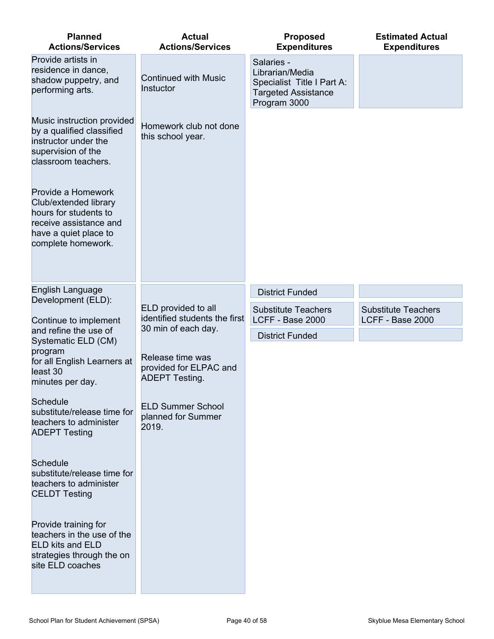| <b>Planned</b><br><b>Actions/Services</b>                                                                                                     | <b>Actual</b><br><b>Actions/Services</b>                            | <b>Proposed</b><br><b>Expenditures</b>                                                                    | <b>Estimated Actual</b><br><b>Expenditures</b> |
|-----------------------------------------------------------------------------------------------------------------------------------------------|---------------------------------------------------------------------|-----------------------------------------------------------------------------------------------------------|------------------------------------------------|
| Provide artists in<br>residence in dance,<br>shadow puppetry, and<br>performing arts.                                                         | <b>Continued with Music</b><br>Instuctor                            | Salaries -<br>Librarian/Media<br>Specialist Title I Part A:<br><b>Targeted Assistance</b><br>Program 3000 |                                                |
| Music instruction provided<br>by a qualified classified<br>instructor under the<br>supervision of the<br>classroom teachers.                  | Homework club not done<br>this school year.                         |                                                                                                           |                                                |
| Provide a Homework<br>Club/extended library<br>hours for students to<br>receive assistance and<br>have a quiet place to<br>complete homework. |                                                                     |                                                                                                           |                                                |
| English Language                                                                                                                              |                                                                     | <b>District Funded</b>                                                                                    |                                                |
| Development (ELD):<br>Continue to implement                                                                                                   | ELD provided to all<br>identified students the first                | <b>Substitute Teachers</b><br>LCFF - Base 2000                                                            | <b>Substitute Teachers</b><br>LCFF - Base 2000 |
| and refine the use of<br>Systematic ELD (CM)                                                                                                  | 30 min of each day.                                                 | <b>District Funded</b>                                                                                    |                                                |
| program<br>for all English Learners at<br>least 30<br>minutes per day.                                                                        | Release time was<br>provided for ELPAC and<br><b>ADEPT Testing.</b> |                                                                                                           |                                                |
| <b>Schedule</b><br>substitute/release time for<br>teachers to administer<br><b>ADEPT Testing</b>                                              | <b>ELD Summer School</b><br>planned for Summer<br>2019.             |                                                                                                           |                                                |
| <b>Schedule</b><br>substitute/release time for<br>teachers to administer<br><b>CELDT Testing</b>                                              |                                                                     |                                                                                                           |                                                |
| Provide training for<br>teachers in the use of the<br><b>ELD kits and ELD</b><br>strategies through the on<br>site ELD coaches                |                                                                     |                                                                                                           |                                                |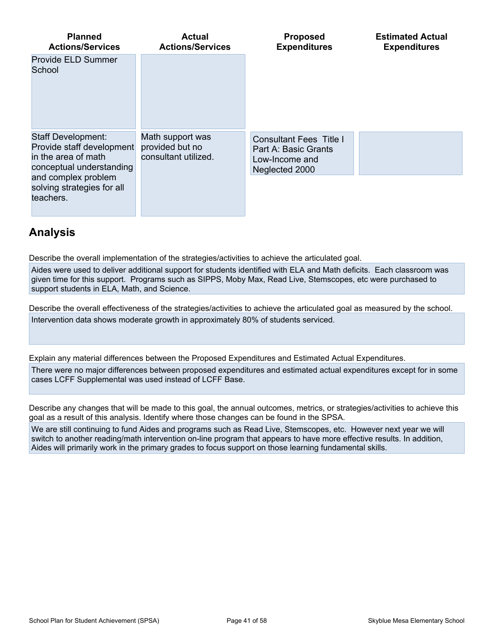| <b>Planned</b><br><b>Actions/Services</b>                                                                                        | <b>Actual</b><br><b>Actions/Services</b>                    | <b>Proposed</b><br><b>Expenditures</b>                                                     | <b>Estimated Actual</b><br><b>Expenditures</b> |
|----------------------------------------------------------------------------------------------------------------------------------|-------------------------------------------------------------|--------------------------------------------------------------------------------------------|------------------------------------------------|
| Provide ELD Summer<br>School                                                                                                     |                                                             |                                                                                            |                                                |
| <b>Staff Development:</b><br>Provide staff development<br>in the area of math<br>conceptual understanding<br>and complex problem | Math support was<br>provided but no<br>consultant utilized. | <b>Consultant Fees Title I</b><br>Part A: Basic Grants<br>Low-Income and<br>Neglected 2000 |                                                |
| solving strategies for all<br>teachers.                                                                                          |                                                             |                                                                                            |                                                |

# **Analysis**

Describe the overall implementation of the strategies/activities to achieve the articulated goal.

Aides were used to deliver additional support for students identified with ELA and Math deficits. Each classroom was given time for this support. Programs such as SIPPS, Moby Max, Read Live, Stemscopes, etc were purchased to support students in ELA, Math, and Science.

Describe the overall effectiveness of the strategies/activities to achieve the articulated goal as measured by the school. Intervention data shows moderate growth in approximately 80% of students serviced.

Explain any material differences between the Proposed Expenditures and Estimated Actual Expenditures. There were no major differences between proposed expenditures and estimated actual expenditures except for in some cases LCFF Supplemental was used instead of LCFF Base.

Describe any changes that will be made to this goal, the annual outcomes, metrics, or strategies/activities to achieve this goal as a result of this analysis. Identify where those changes can be found in the SPSA.

We are still continuing to fund Aides and programs such as Read Live, Stemscopes, etc. However next year we will switch to another reading/math intervention on-line program that appears to have more effective results. In addition, Aides will primarily work in the primary grades to focus support on those learning fundamental skills.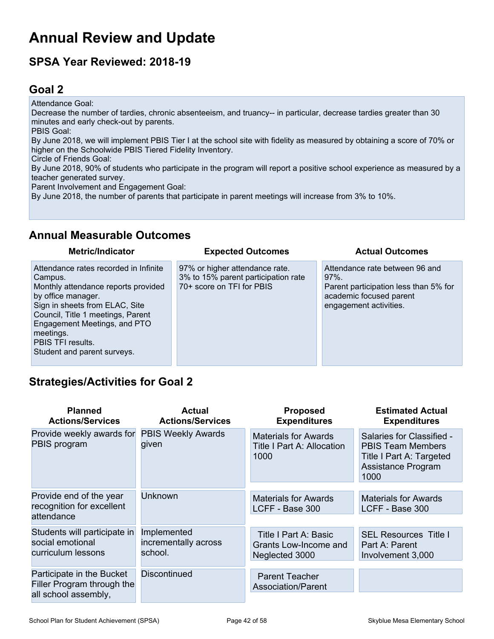# **Annual Review and Update**

# **SPSA Year Reviewed: 2018-19**

# <span id="page-41-0"></span>**Goal 2**

Attendance Goal: Decrease the number of tardies, chronic absenteeism, and truancy-- in particular, decrease tardies greater than 30 minutes and early check-out by parents. PBIS Goal: By June 2018, we will implement PBIS Tier I at the school site with fidelity as measured by obtaining a score of 70% or higher on the Schoolwide PBIS Tiered Fidelity Inventory. Circle of Friends Goal: By June 2018, 90% of students who participate in the program will report a positive school experience as measured by a teacher generated survey. Parent Involvement and Engagement Goal: By June 2018, the number of parents that participate in parent meetings will increase from 3% to 10%.

# **Annual Measurable Outcomes**

| <b>Metric/Indicator</b>                                                                                                                                                                                                                                                               | <b>Expected Outcomes</b>                                                                           | <b>Actual Outcomes</b>                                                                                                                   |
|---------------------------------------------------------------------------------------------------------------------------------------------------------------------------------------------------------------------------------------------------------------------------------------|----------------------------------------------------------------------------------------------------|------------------------------------------------------------------------------------------------------------------------------------------|
| Attendance rates recorded in Infinite<br>Campus.<br>Monthly attendance reports provided<br>by office manager.<br>Sign in sheets from ELAC, Site<br>Council, Title 1 meetings, Parent<br>Engagement Meetings, and PTO<br>meetings.<br>PBIS TFI results.<br>Student and parent surveys. | 97% or higher attendance rate.<br>3% to 15% parent participation rate<br>70+ score on TFI for PBIS | Attendance rate between 96 and<br>$97\%$ .<br>Parent participation less than 5% for<br>academic focused parent<br>engagement activities. |

# **Strategies/Activities for Goal 2**

| <b>Planned</b><br><b>Actions/Services</b>                              | Actual<br><b>Actions/Services</b>              | <b>Proposed</b><br><b>Expenditures</b>                            | <b>Estimated Actual</b><br><b>Expenditures</b>                                                                  |
|------------------------------------------------------------------------|------------------------------------------------|-------------------------------------------------------------------|-----------------------------------------------------------------------------------------------------------------|
| Provide weekly awards for<br>PBIS program                              | <b>PBIS Weekly Awards</b><br>given             | <b>Materials for Awards</b><br>Title I Part A: Allocation<br>1000 | Salaries for Classified -<br><b>PBIS Team Members</b><br>Title I Part A: Targeted<br>Assistance Program<br>1000 |
|                                                                        |                                                |                                                                   |                                                                                                                 |
| Provide end of the year<br>recognition for excellent                   | <b>Unknown</b>                                 | <b>Materials for Awards</b><br>LCFF - Base 300                    | Materials for Awards<br>LCFF - Base 300                                                                         |
| attendance                                                             |                                                |                                                                   |                                                                                                                 |
| Students will participate in<br>social emotional<br>curriculum lessons | Implemented<br>incrementally across<br>school. | Title I Part A: Basic<br>Grants Low-Income and<br>Neglected 3000  | <b>SEL Resources Title I</b><br>Part A: Parent<br>Involvement 3,000                                             |
|                                                                        |                                                |                                                                   |                                                                                                                 |
| Participate in the Bucket<br>Filler Program through the                | <b>Discontinued</b>                            | <b>Parent Teacher</b><br><b>Association/Parent</b>                |                                                                                                                 |
| all school assembly,                                                   |                                                |                                                                   |                                                                                                                 |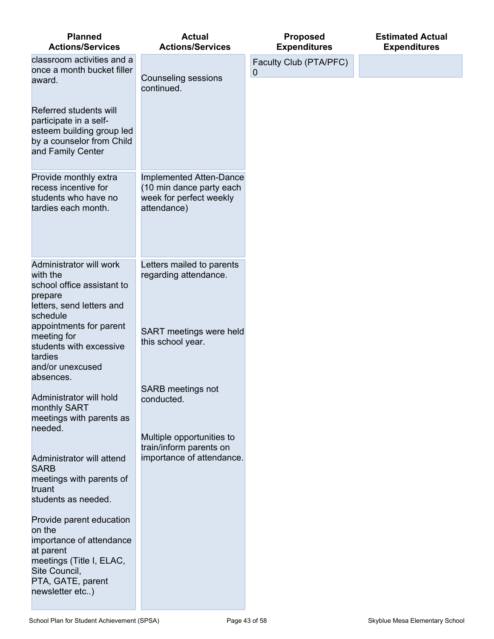| <b>Planned</b><br><b>Actions/Services</b>                                                                                                                        | <b>Actual</b><br><b>Actions/Services</b>                                                      | <b>Proposed</b><br><b>Expenditures</b> | <b>Estimated Actual</b><br><b>Expenditures</b> |
|------------------------------------------------------------------------------------------------------------------------------------------------------------------|-----------------------------------------------------------------------------------------------|----------------------------------------|------------------------------------------------|
| classroom activities and a<br>once a month bucket filler<br>award.                                                                                               | <b>Counseling sessions</b>                                                                    | Faculty Club (PTA/PFC)<br>0            |                                                |
|                                                                                                                                                                  | continued.                                                                                    |                                        |                                                |
| Referred students will<br>participate in a self-<br>esteem building group led<br>by a counselor from Child<br>and Family Center                                  |                                                                                               |                                        |                                                |
| Provide monthly extra<br>recess incentive for<br>students who have no<br>tardies each month.                                                                     | Implemented Atten-Dance<br>(10 min dance party each<br>week for perfect weekly<br>attendance) |                                        |                                                |
| Administrator will work<br>with the<br>school office assistant to<br>prepare<br>letters, send letters and<br>schedule                                            | Letters mailed to parents<br>regarding attendance.                                            |                                        |                                                |
| appointments for parent<br>meeting for<br>students with excessive<br>tardies<br>and/or unexcused<br>absences.                                                    | SART meetings were held<br>this school year.                                                  |                                        |                                                |
| Administrator will hold<br>monthly SART<br>meetings with parents as<br>needed.                                                                                   | <b>SARB</b> meetings not<br>conducted.                                                        |                                        |                                                |
|                                                                                                                                                                  | Multiple opportunities to<br>train/inform parents on                                          |                                        |                                                |
| Administrator will attend<br><b>SARB</b>                                                                                                                         | importance of attendance.                                                                     |                                        |                                                |
| meetings with parents of<br>truant<br>students as needed.                                                                                                        |                                                                                               |                                        |                                                |
| Provide parent education<br>on the<br>importance of attendance<br>at parent<br>meetings (Title I, ELAC,<br>Site Council,<br>PTA, GATE, parent<br>newsletter etc) |                                                                                               |                                        |                                                |
|                                                                                                                                                                  |                                                                                               |                                        |                                                |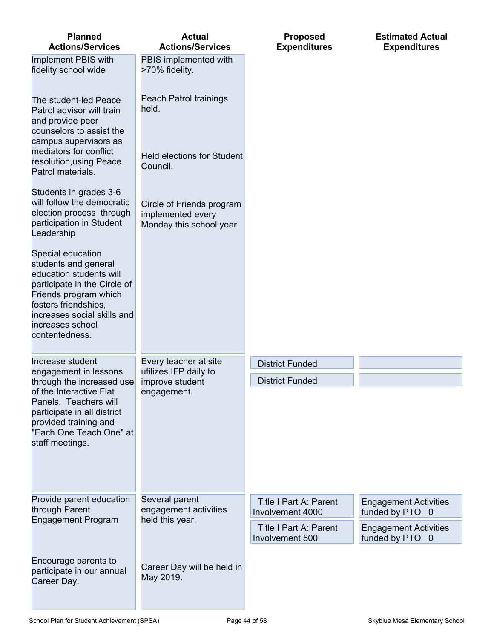| <b>Planned</b><br><b>Actions/Services</b>                                                                                                                                                                                  | <b>Actual</b><br><b>Actions/Services</b>                                   | <b>Proposed</b><br><b>Expenditures</b>            | <b>Estimated Actual</b><br><b>Expenditures</b>  |
|----------------------------------------------------------------------------------------------------------------------------------------------------------------------------------------------------------------------------|----------------------------------------------------------------------------|---------------------------------------------------|-------------------------------------------------|
| Implement PBIS with<br>fidelity school wide                                                                                                                                                                                | PBIS implemented with<br>>70% fidelity.                                    |                                                   |                                                 |
| The student-led Peace<br>Patrol advisor will train<br>and provide peer                                                                                                                                                     | Peach Patrol trainings<br>held.                                            |                                                   |                                                 |
| counselors to assist the<br>campus supervisors as<br>mediators for conflict<br>resolution, using Peace<br>Patrol materials.                                                                                                | <b>Held elections for Student</b><br>Council.                              |                                                   |                                                 |
| Students in grades 3-6<br>will follow the democratic<br>election process through<br>participation in Student<br>Leadership                                                                                                 | Circle of Friends program<br>implemented every<br>Monday this school year. |                                                   |                                                 |
| Special education<br>students and general<br>education students will<br>participate in the Circle of<br>Friends program which<br>fosters friendships,<br>increases social skills and<br>increases school<br>contentedness. |                                                                            |                                                   |                                                 |
| Increase student<br>engagement in lessons                                                                                                                                                                                  | Every teacher at site<br>utilizes IFP daily to                             | <b>District Funded</b>                            |                                                 |
| through the increased use<br>of the Interactive Flat<br>Panels. Teachers will<br>participate in all district<br>provided training and<br>"Each One Teach One" at<br>staff meetings.                                        | improve student<br>engagement.                                             | <b>District Funded</b>                            |                                                 |
| Provide parent education<br>through Parent                                                                                                                                                                                 | Several parent<br>engagement activities                                    | <b>Title I Part A: Parent</b><br>Involvement 4000 | <b>Engagement Activities</b><br>funded by PTO 0 |
| <b>Engagement Program</b>                                                                                                                                                                                                  | held this year.                                                            | <b>Title I Part A: Parent</b><br>Involvement 500  | <b>Engagement Activities</b><br>funded by PTO 0 |
| Encourage parents to<br>participate in our annual<br>Career Day.                                                                                                                                                           | Career Day will be held in<br>May 2019.                                    |                                                   |                                                 |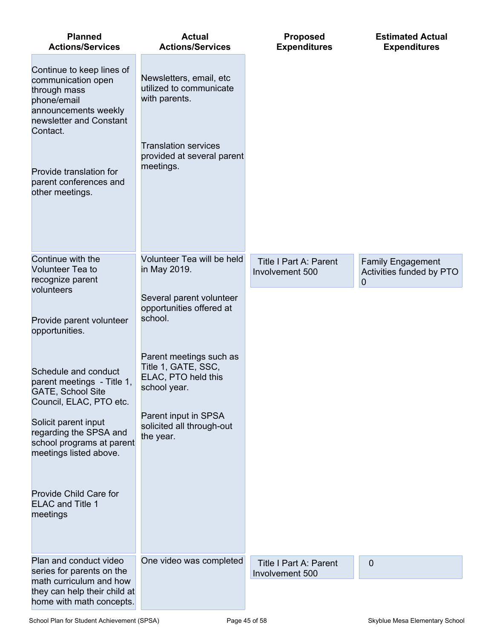| <b>Planned</b><br><b>Actions/Services</b>                                                                                                                                                                             | <b>Actual</b><br><b>Actions/Services</b>                                                                                                      | <b>Proposed</b><br><b>Expenditures</b>           | <b>Estimated Actual</b><br><b>Expenditures</b> |
|-----------------------------------------------------------------------------------------------------------------------------------------------------------------------------------------------------------------------|-----------------------------------------------------------------------------------------------------------------------------------------------|--------------------------------------------------|------------------------------------------------|
| Continue to keep lines of<br>communication open<br>through mass<br>phone/email<br>announcements weekly<br>newsletter and Constant<br>Contact.<br>Provide translation for<br>parent conferences and<br>other meetings. | Newsletters, email, etc<br>utilized to communicate<br>with parents.<br><b>Translation services</b><br>provided at several parent<br>meetings. |                                                  |                                                |
| Continue with the                                                                                                                                                                                                     | Volunteer Tea will be held                                                                                                                    | <b>Title I Part A: Parent</b>                    | <b>Family Engagement</b>                       |
| Volunteer Tea to<br>recognize parent                                                                                                                                                                                  | in May 2019.                                                                                                                                  | Involvement 500                                  | Activities funded by PTO<br>$\overline{0}$     |
| volunteers<br>Provide parent volunteer<br>opportunities.                                                                                                                                                              | Several parent volunteer<br>opportunities offered at<br>school.                                                                               |                                                  |                                                |
| Schedule and conduct<br>parent meetings - Title 1,<br><b>GATE, School Site</b><br>Council, ELAC, PTO etc.                                                                                                             | Parent meetings such as<br>Title 1, GATE, SSC,<br>ELAC, PTO held this<br>school year.                                                         |                                                  |                                                |
| Solicit parent input<br>regarding the SPSA and<br>school programs at parent<br>meetings listed above.                                                                                                                 | Parent input in SPSA<br>solicited all through-out<br>the year.                                                                                |                                                  |                                                |
| Provide Child Care for<br><b>ELAC and Title 1</b><br>meetings                                                                                                                                                         |                                                                                                                                               |                                                  |                                                |
| Plan and conduct video<br>series for parents on the                                                                                                                                                                   | One video was completed                                                                                                                       | <b>Title I Part A: Parent</b><br>Involvement 500 | 0                                              |
| math curriculum and how<br>they can help their child at<br>home with math concepts.                                                                                                                                   |                                                                                                                                               |                                                  |                                                |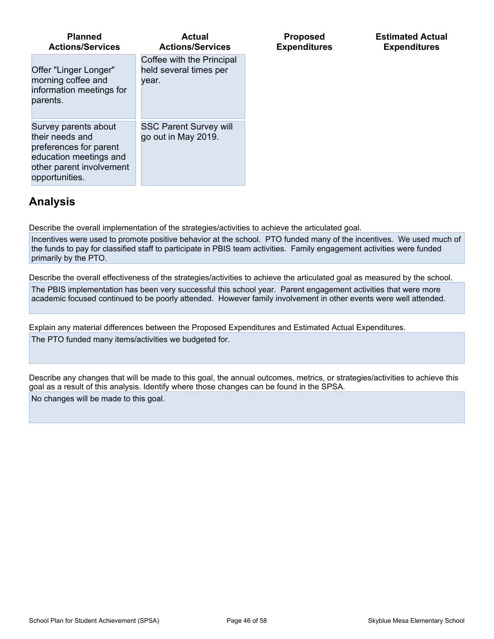| <b>Planned</b><br><b>Actions/Services</b>                                                                                                 | <b>Actual</b><br><b>Actions/Services</b>                     | <b>Proposed</b><br><b>Expenditures</b> |
|-------------------------------------------------------------------------------------------------------------------------------------------|--------------------------------------------------------------|----------------------------------------|
| Offer "Linger Longer"<br>morning coffee and<br>information meetings for<br>parents.                                                       | Coffee with the Principal<br>held several times per<br>vear. |                                        |
| Survey parents about<br>their needs and<br>preferences for parent<br>education meetings and<br>other parent involvement<br>opportunities. | <b>SSC Parent Survey will</b><br>go out in May 2019.         |                                        |

# **Analysis**

Describe the overall implementation of the strategies/activities to achieve the articulated goal.

Incentives were used to promote positive behavior at the school. PTO funded many of the incentives. We used much of the funds to pay for classified staff to participate in PBIS team activities. Family engagement activities were funded primarily by the PTO.

Describe the overall effectiveness of the strategies/activities to achieve the articulated goal as measured by the school. The PBIS implementation has been very successful this school year. Parent engagement activities that were more academic focused continued to be poorly attended. However family involvement in other events were well attended.

Explain any material differences between the Proposed Expenditures and Estimated Actual Expenditures. The PTO funded many items/activities we budgeted for.

Describe any changes that will be made to this goal, the annual outcomes, metrics, or strategies/activities to achieve this goal as a result of this analysis. Identify where those changes can be found in the SPSA. No changes will be made to this goal.

**Estimated Actual Expenditures**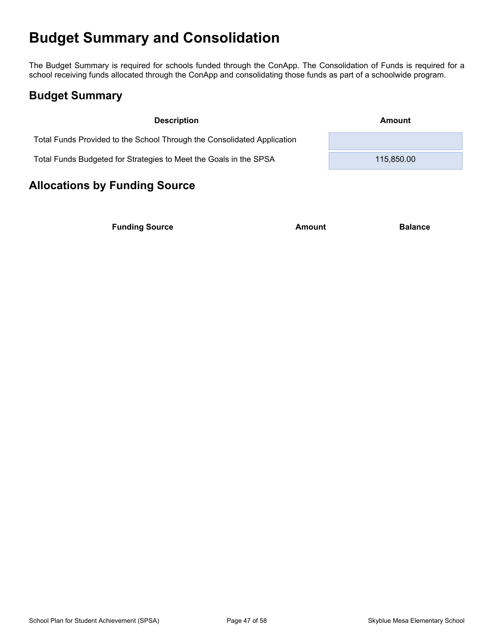# <span id="page-46-0"></span>**Budget Summary and Consolidation**

The Budget Summary is required for schools funded through the ConApp. The Consolidation of Funds is required for a school receiving funds allocated through the ConApp and consolidating those funds as part of a schoolwide program.

# <span id="page-46-1"></span>**Budget Summary**

| <b>Description</b>                                                      | Amount     |  |
|-------------------------------------------------------------------------|------------|--|
| Total Funds Provided to the School Through the Consolidated Application |            |  |
| Total Funds Budgeted for Strategies to Meet the Goals in the SPSA       | 115,850,00 |  |

# <span id="page-46-2"></span>**Allocations by Funding Source**

**Funding Source Amount Balance Balance**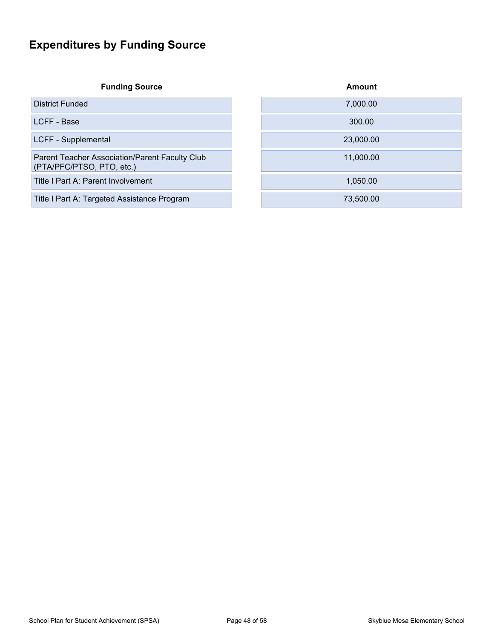# <span id="page-47-0"></span>**Expenditures by Funding Source**

**Funding Source** 

District Funded

LCFF - Base

LCFF - Supplemental

Parent Teacher Association/Parent Faculty Club (PTA/PFC/PTSO, PTO, etc.)

Title I Part A: Parent Involvement

Title I Part A: Targeted Assistance Program

| <b>Amount</b> |
|---------------|
| 7,000.00      |
| 300.00        |
| 23,000.00     |
| 11,000.00     |
| 1,050.00      |
| 73,500.00     |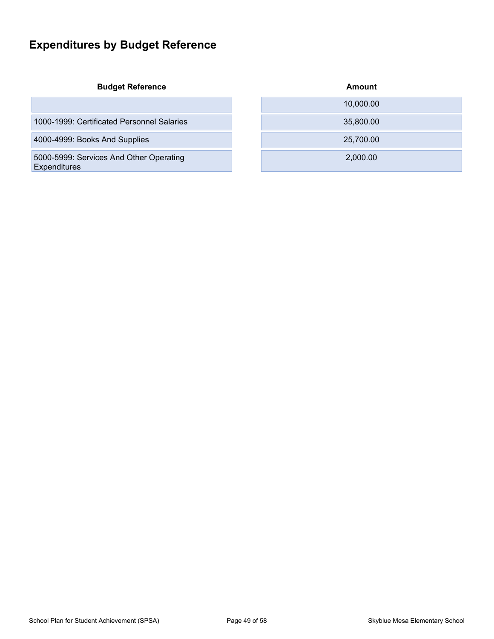# <span id="page-48-0"></span>**Expenditures by Budget Reference**

**Budget Reference** 

5000-5999: Services And Other Operating **Expenditures** 

| <b>Budget Reference</b>                                 | Amount    |
|---------------------------------------------------------|-----------|
|                                                         | 10,000.00 |
| 1000-1999: Certificated Personnel Salaries              | 35,800.00 |
| 4000-4999: Books And Supplies                           | 25,700.00 |
| 5000-5999: Services And Other Operating<br>Exnenditures | 2,000.00  |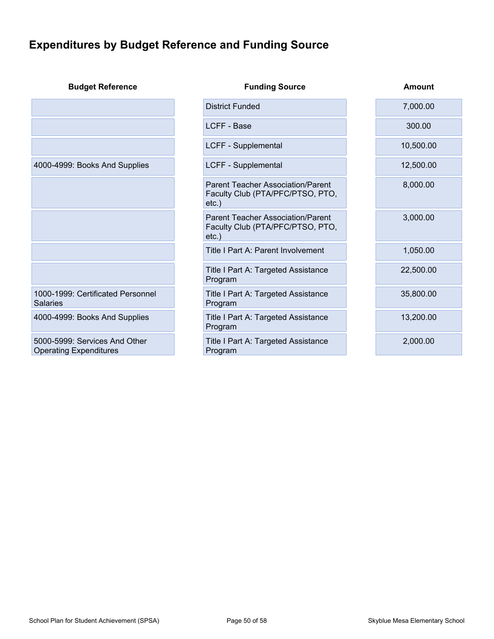# <span id="page-49-0"></span>**Expenditures by Budget Reference and Funding Source**

| <b>Budget Reference</b>                                        | <b>Funding Source</b>                                                                    | <b>Amount</b> |
|----------------------------------------------------------------|------------------------------------------------------------------------------------------|---------------|
|                                                                | <b>District Funded</b>                                                                   | 7,000.00      |
|                                                                | LCFF - Base                                                                              | 300.00        |
|                                                                | LCFF - Supplemental                                                                      | 10,500.00     |
| 4000-4999: Books And Supplies                                  | LCFF - Supplemental                                                                      | 12,500.00     |
|                                                                | <b>Parent Teacher Association/Parent</b><br>Faculty Club (PTA/PFC/PTSO, PTO,<br>$etc.$ ) | 8,000.00      |
|                                                                | <b>Parent Teacher Association/Parent</b><br>Faculty Club (PTA/PFC/PTSO, PTO,<br>$etc.$ ) | 3,000.00      |
|                                                                | Title I Part A: Parent Involvement                                                       | 1,050.00      |
|                                                                | Title I Part A: Targeted Assistance<br>Program                                           | 22,500.00     |
| 1000-1999: Certificated Personnel<br><b>Salaries</b>           | Title I Part A: Targeted Assistance<br>Program                                           | 35,800.00     |
| 4000-4999: Books And Supplies                                  | Title I Part A: Targeted Assistance<br>Program                                           | 13,200.00     |
| 5000-5999: Services And Other<br><b>Operating Expenditures</b> | Title I Part A: Targeted Assistance<br>Program                                           | 2,000.00      |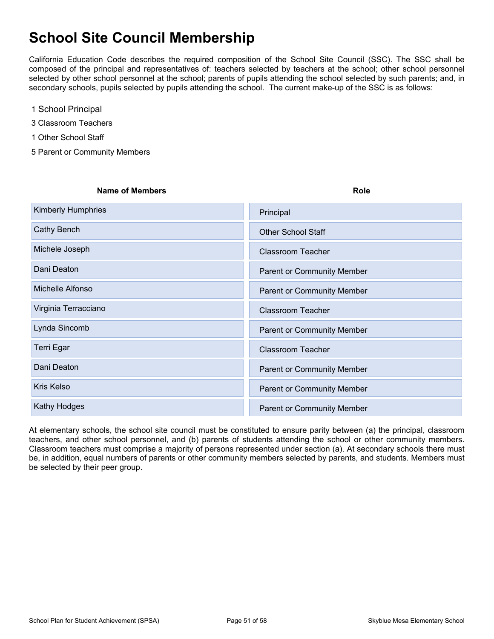# <span id="page-50-0"></span>**School Site Council Membership**

California Education Code describes the required composition of the School Site Council (SSC). The SSC shall be composed of the principal and representatives of: teachers selected by teachers at the school; other school personnel selected by other school personnel at the school; parents of pupils attending the school selected by such parents; and, in secondary schools, pupils selected by pupils attending the school. The current make-up of the SSC is as follows:

- 1 School Principal
- 3 Classroom Teachers
- 1 Other School Staff
- 5 Parent or Community Members

| <b>Name of Members</b>    | Role                              |
|---------------------------|-----------------------------------|
| <b>Kimberly Humphries</b> | Principal                         |
| Cathy Bench               | <b>Other School Staff</b>         |
| Michele Joseph            | <b>Classroom Teacher</b>          |
| Dani Deaton               | <b>Parent or Community Member</b> |
| Michelle Alfonso          | <b>Parent or Community Member</b> |
| Virginia Terracciano      | <b>Classroom Teacher</b>          |
| Lynda Sincomb             | <b>Parent or Community Member</b> |
| Terri Egar                | <b>Classroom Teacher</b>          |
| Dani Deaton               | <b>Parent or Community Member</b> |
| <b>Kris Kelso</b>         | <b>Parent or Community Member</b> |
| Kathy Hodges              | <b>Parent or Community Member</b> |

At elementary schools, the school site council must be constituted to ensure parity between (a) the principal, classroom teachers, and other school personnel, and (b) parents of students attending the school or other community members. Classroom teachers must comprise a majority of persons represented under section (a). At secondary schools there must be, in addition, equal numbers of parents or other community members selected by parents, and students. Members must be selected by their peer group.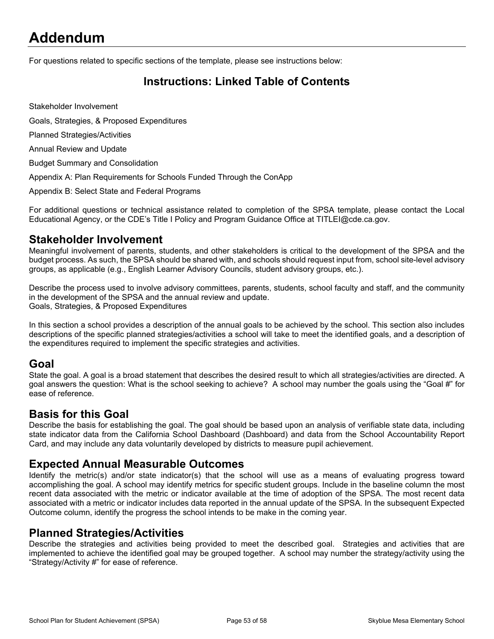# <span id="page-51-0"></span>**Addendum**

For questions related to specific sections of the template, please see instructions below:

# <span id="page-51-1"></span>**Instructions: Linked Table of Contents**

Stakeholder Involvement

Goals, Strategies, & Proposed Expenditures

Planned Strategies/Activities

Annual Review and Update

Budget Summary and Consolidation

Appendix A: Plan Requirements for Schools Funded Through the ConApp

Appendix B: Select State and Federal Programs

For additional questions or technical assistance related to completion of the SPSA template, please contact the Local Educational Agency, or the CDE's Title I Policy and Program Guidance Office at TITLEI@cde.ca.gov.

#### **Stakeholder Involvement**

Meaningful involvement of parents, students, and other stakeholders is critical to the development of the SPSA and the budget process. As such, the SPSA should be shared with, and schools should request input from, school site-level advisory groups, as applicable (e.g., English Learner Advisory Councils, student advisory groups, etc.).

Describe the process used to involve advisory committees, parents, students, school faculty and staff, and the community in the development of the SPSA and the annual review and update. Goals, Strategies, & Proposed Expenditures

In this section a school provides a description of the annual goals to be achieved by the school. This section also includes descriptions of the specific planned strategies/activities a school will take to meet the identified goals, and a description of the expenditures required to implement the specific strategies and activities.

#### **Goal**

State the goal. A goal is a broad statement that describes the desired result to which all strategies/activities are directed. A goal answers the question: What is the school seeking to achieve? A school may number the goals using the "Goal #" for ease of reference.

### **Basis for this Goal**

Describe the basis for establishing the goal. The goal should be based upon an analysis of verifiable state data, including state indicator data from the California School Dashboard (Dashboard) and data from the School Accountability Report Card, and may include any data voluntarily developed by districts to measure pupil achievement.

### **Expected Annual Measurable Outcomes**

Identify the metric(s) and/or state indicator(s) that the school will use as a means of evaluating progress toward accomplishing the goal. A school may identify metrics for specific student groups. Include in the baseline column the most recent data associated with the metric or indicator available at the time of adoption of the SPSA. The most recent data associated with a metric or indicator includes data reported in the annual update of the SPSA. In the subsequent Expected Outcome column, identify the progress the school intends to be make in the coming year.

### **Planned Strategies/Activities**

Describe the strategies and activities being provided to meet the described goal. Strategies and activities that are implemented to achieve the identified goal may be grouped together. A school may number the strategy/activity using the "Strategy/Activity #" for ease of reference.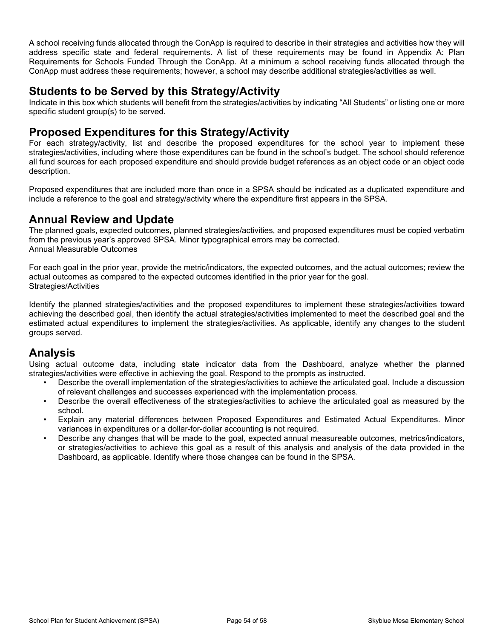A school receiving funds allocated through the ConApp is required to describe in their strategies and activities how they will address specific state and federal requirements. A list of these requirements may be found in Appendix A: Plan Requirements for Schools Funded Through the ConApp. At a minimum a school receiving funds allocated through the ConApp must address these requirements; however, a school may describe additional strategies/activities as well.

### **Students to be Served by this Strategy/Activity**

Indicate in this box which students will benefit from the strategies/activities by indicating "All Students" or listing one or more specific student group(s) to be served.

### **Proposed Expenditures for this Strategy/Activity**

For each strategy/activity, list and describe the proposed expenditures for the school year to implement these strategies/activities, including where those expenditures can be found in the school's budget. The school should reference all fund sources for each proposed expenditure and should provide budget references as an object code or an object code description.

Proposed expenditures that are included more than once in a SPSA should be indicated as a duplicated expenditure and include a reference to the goal and strategy/activity where the expenditure first appears in the SPSA.

### **Annual Review and Update**

The planned goals, expected outcomes, planned strategies/activities, and proposed expenditures must be copied verbatim from the previous year's approved SPSA. Minor typographical errors may be corrected. Annual Measurable Outcomes

For each goal in the prior year, provide the metric/indicators, the expected outcomes, and the actual outcomes; review the actual outcomes as compared to the expected outcomes identified in the prior year for the goal. Strategies/Activities

Identify the planned strategies/activities and the proposed expenditures to implement these strategies/activities toward achieving the described goal, then identify the actual strategies/activities implemented to meet the described goal and the estimated actual expenditures to implement the strategies/activities. As applicable, identify any changes to the student groups served.

# **Analysis**

Using actual outcome data, including state indicator data from the Dashboard, analyze whether the planned strategies/activities were effective in achieving the goal. Respond to the prompts as instructed.

- Describe the overall implementation of the strategies/activities to achieve the articulated goal. Include a discussion of relevant challenges and successes experienced with the implementation process.
- Describe the overall effectiveness of the strategies/activities to achieve the articulated goal as measured by the school.
- Explain any material differences between Proposed Expenditures and Estimated Actual Expenditures. Minor variances in expenditures or a dollar-for-dollar accounting is not required.
- Describe any changes that will be made to the goal, expected annual measureable outcomes, metrics/indicators, or strategies/activities to achieve this goal as a result of this analysis and analysis of the data provided in the Dashboard, as applicable. Identify where those changes can be found in the SPSA.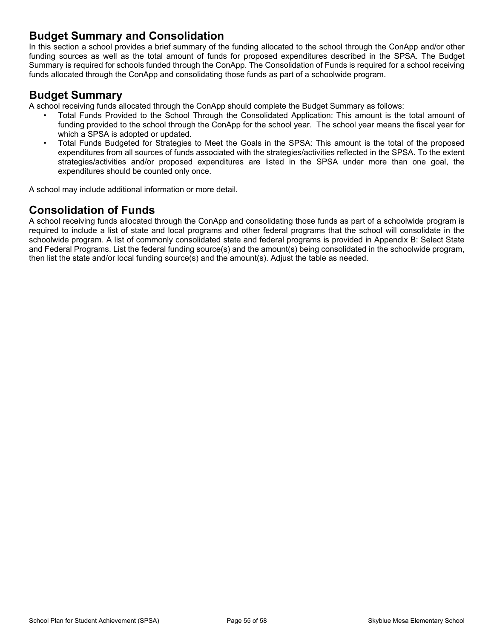### **Budget Summary and Consolidation**

In this section a school provides a brief summary of the funding allocated to the school through the ConApp and/or other funding sources as well as the total amount of funds for proposed expenditures described in the SPSA. The Budget Summary is required for schools funded through the ConApp. The Consolidation of Funds is required for a school receiving funds allocated through the ConApp and consolidating those funds as part of a schoolwide program.

### **Budget Summary**

A school receiving funds allocated through the ConApp should complete the Budget Summary as follows:

- Total Funds Provided to the School Through the Consolidated Application: This amount is the total amount of funding provided to the school through the ConApp for the school year. The school year means the fiscal year for which a SPSA is adopted or updated.
- Total Funds Budgeted for Strategies to Meet the Goals in the SPSA: This amount is the total of the proposed expenditures from all sources of funds associated with the strategies/activities reflected in the SPSA. To the extent strategies/activities and/or proposed expenditures are listed in the SPSA under more than one goal, the expenditures should be counted only once.

A school may include additional information or more detail.

# **Consolidation of Funds**

A school receiving funds allocated through the ConApp and consolidating those funds as part of a schoolwide program is required to include a list of state and local programs and other federal programs that the school will consolidate in the schoolwide program. A list of commonly consolidated state and federal programs is provided in Appendix B: Select State and Federal Programs. List the federal funding source(s) and the amount(s) being consolidated in the schoolwide program, then list the state and/or local funding source(s) and the amount(s). Adjust the table as needed.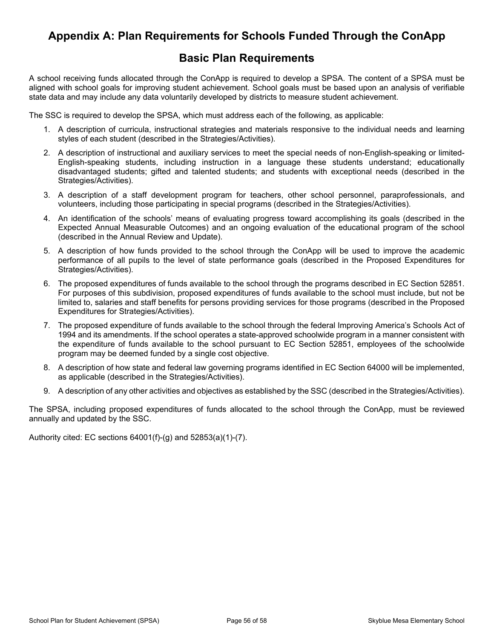# <span id="page-54-0"></span>**Appendix A: Plan Requirements for Schools Funded Through the ConApp**

### **Basic Plan Requirements**

A school receiving funds allocated through the ConApp is required to develop a SPSA. The content of a SPSA must be aligned with school goals for improving student achievement. School goals must be based upon an analysis of verifiable state data and may include any data voluntarily developed by districts to measure student achievement.

The SSC is required to develop the SPSA, which must address each of the following, as applicable:

- 1. A description of curricula, instructional strategies and materials responsive to the individual needs and learning styles of each student (described in the Strategies/Activities).
- 2. A description of instructional and auxiliary services to meet the special needs of non-English-speaking or limited-English-speaking students, including instruction in a language these students understand; educationally disadvantaged students; gifted and talented students; and students with exceptional needs (described in the Strategies/Activities).
- 3. A description of a staff development program for teachers, other school personnel, paraprofessionals, and volunteers, including those participating in special programs (described in the Strategies/Activities).
- 4. An identification of the schools' means of evaluating progress toward accomplishing its goals (described in the Expected Annual Measurable Outcomes) and an ongoing evaluation of the educational program of the school (described in the Annual Review and Update).
- 5. A description of how funds provided to the school through the ConApp will be used to improve the academic performance of all pupils to the level of state performance goals (described in the Proposed Expenditures for Strategies/Activities).
- 6. The proposed expenditures of funds available to the school through the programs described in EC Section 52851. For purposes of this subdivision, proposed expenditures of funds available to the school must include, but not be limited to, salaries and staff benefits for persons providing services for those programs (described in the Proposed Expenditures for Strategies/Activities).
- 7. The proposed expenditure of funds available to the school through the federal Improving America's Schools Act of 1994 and its amendments. If the school operates a state-approved schoolwide program in a manner consistent with the expenditure of funds available to the school pursuant to EC Section 52851, employees of the schoolwide program may be deemed funded by a single cost objective.
- 8. A description of how state and federal law governing programs identified in EC Section 64000 will be implemented, as applicable (described in the Strategies/Activities).
- 9. A description of any other activities and objectives as established by the SSC (described in the Strategies/Activities).

The SPSA, including proposed expenditures of funds allocated to the school through the ConApp, must be reviewed annually and updated by the SSC.

Authority cited: EC sections 64001(f)-(g) and 52853(a)(1)-(7).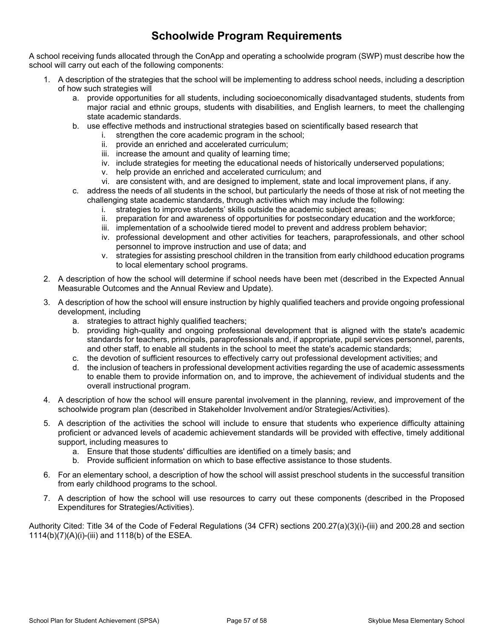# **Schoolwide Program Requirements**

A school receiving funds allocated through the ConApp and operating a schoolwide program (SWP) must describe how the school will carry out each of the following components:

- 1. A description of the strategies that the school will be implementing to address school needs, including a description of how such strategies will
	- a. provide opportunities for all students, including socioeconomically disadvantaged students, students from major racial and ethnic groups, students with disabilities, and English learners, to meet the challenging state academic standards.
	- b. use effective methods and instructional strategies based on scientifically based research that
		- i. strengthen the core academic program in the school;
		- ii. provide an enriched and accelerated curriculum;
		- iii. increase the amount and quality of learning time;
		- iv. include strategies for meeting the educational needs of historically underserved populations;
		- v. help provide an enriched and accelerated curriculum; and
		- vi. are consistent with, and are designed to implement, state and local improvement plans, if any.
	- c. address the needs of all students in the school, but particularly the needs of those at risk of not meeting the challenging state academic standards, through activities which may include the following:
		- i. strategies to improve students' skills outside the academic subject areas;
		- ii. preparation for and awareness of opportunities for postsecondary education and the workforce;
		- iii. implementation of a schoolwide tiered model to prevent and address problem behavior;
		- iv. professional development and other activities for teachers, paraprofessionals, and other school personnel to improve instruction and use of data; and
		- v. strategies for assisting preschool children in the transition from early childhood education programs to local elementary school programs.
- 2. A description of how the school will determine if school needs have been met (described in the Expected Annual Measurable Outcomes and the Annual Review and Update).
- 3. A description of how the school will ensure instruction by highly qualified teachers and provide ongoing professional development, including
	- a. strategies to attract highly qualified teachers;
	- b. providing high-quality and ongoing professional development that is aligned with the state's academic standards for teachers, principals, paraprofessionals and, if appropriate, pupil services personnel, parents, and other staff, to enable all students in the school to meet the state's academic standards;
	- c. the devotion of sufficient resources to effectively carry out professional development activities; and
	- d. the inclusion of teachers in professional development activities regarding the use of academic assessments to enable them to provide information on, and to improve, the achievement of individual students and the overall instructional program.
- 4. A description of how the school will ensure parental involvement in the planning, review, and improvement of the schoolwide program plan (described in Stakeholder Involvement and/or Strategies/Activities).
- 5. A description of the activities the school will include to ensure that students who experience difficulty attaining proficient or advanced levels of academic achievement standards will be provided with effective, timely additional support, including measures to
	- a. Ensure that those students' difficulties are identified on a timely basis; and
	- b. Provide sufficient information on which to base effective assistance to those students.
- 6. For an elementary school, a description of how the school will assist preschool students in the successful transition from early childhood programs to the school.
- 7. A description of how the school will use resources to carry out these components (described in the Proposed Expenditures for Strategies/Activities).

Authority Cited: Title 34 of the Code of Federal Regulations (34 CFR) sections 200.27(a)(3)(i)-(iii) and 200.28 and section 1114(b)(7)(A)(i)-(iii) and 1118(b) of the ESEA.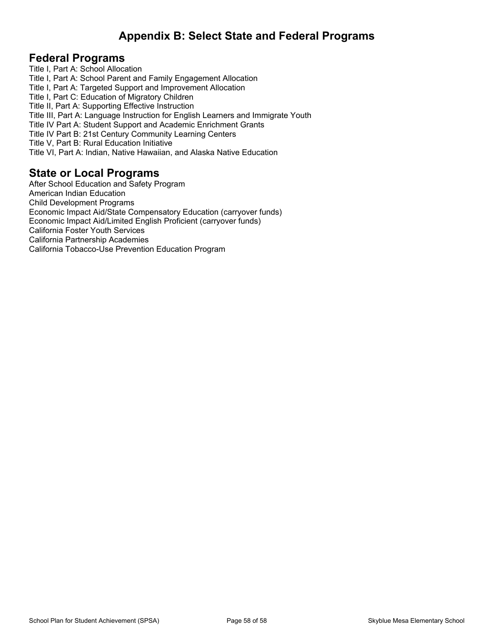# <span id="page-56-0"></span>**Appendix B: Select State and Federal Programs**

### **Federal Programs**

Title I, Part A: School Allocation Title I, Part A: School Parent and Family Engagement Allocation Title I, Part A: Targeted Support and Improvement Allocation Title I, Part C: Education of Migratory Children Title II, Part A: Supporting Effective Instruction Title III, Part A: Language Instruction for English Learners and Immigrate Youth Title IV Part A: Student Support and Academic Enrichment Grants Title IV Part B: 21st Century Community Learning Centers Title V, Part B: Rural Education Initiative Title VI, Part A: Indian, Native Hawaiian, and Alaska Native Education

### **State or Local Programs**

After School Education and Safety Program American Indian Education Child Development Programs Economic Impact Aid/State Compensatory Education (carryover funds) Economic Impact Aid/Limited English Proficient (carryover funds) California Foster Youth Services California Partnership Academies California Tobacco-Use Prevention Education Program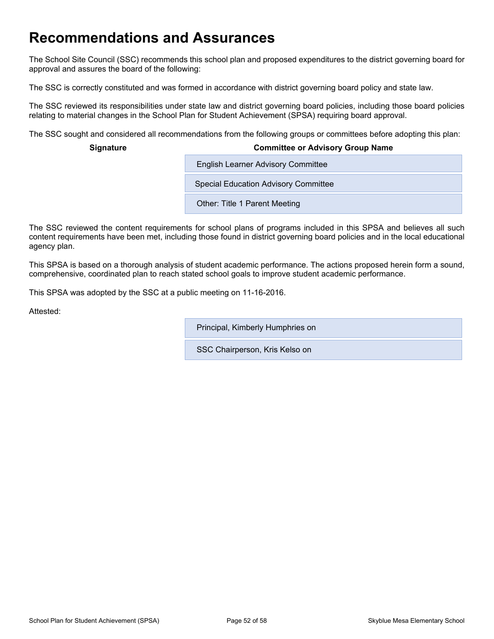# <span id="page-57-0"></span>**Recommendations and Assurances**

The School Site Council (SSC) recommends this school plan and proposed expenditures to the district governing board for approval and assures the board of the following:

The SSC is correctly constituted and was formed in accordance with district governing board policy and state law.

The SSC reviewed its responsibilities under state law and district governing board policies, including those board policies relating to material changes in the School Plan for Student Achievement (SPSA) requiring board approval.

The SSC sought and considered all recommendations from the following groups or committees before adopting this plan:

#### **Signature Committee or Advisory Group Name**

Special Education Advisory Committee

**English Learner Advisory Committee** 

Other: Title 1 Parent Meeting

The SSC reviewed the content requirements for school plans of programs included in this SPSA and believes all such content requirements have been met, including those found in district governing board policies and in the local educational agency plan.

This SPSA is based on a thorough analysis of student academic performance. The actions proposed herein form a sound, comprehensive, coordinated plan to reach stated school goals to improve student academic performance.

This SPSA was adopted by the SSC at a public meeting on 11-16-2016.

Attested:

Principal, Kimberly Humphries on

SSC Chairperson, Kris Kelso on